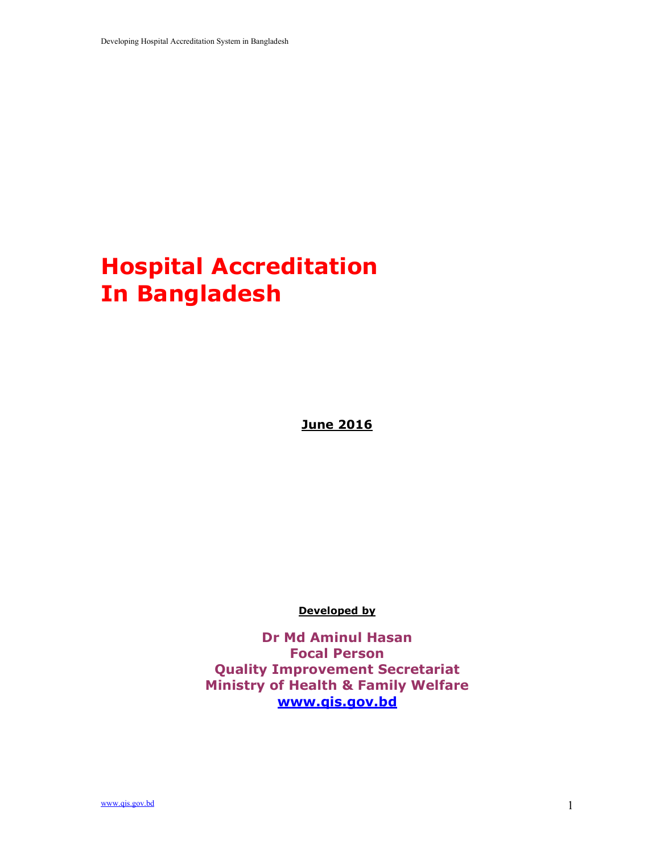# Hospital Accreditation In Bangladesh

June 2016

Developed by

Dr Md Aminul Hasan Focal Person Quality Improvement Secretariat Ministry of Health & Family Welfare www.qis.gov.bd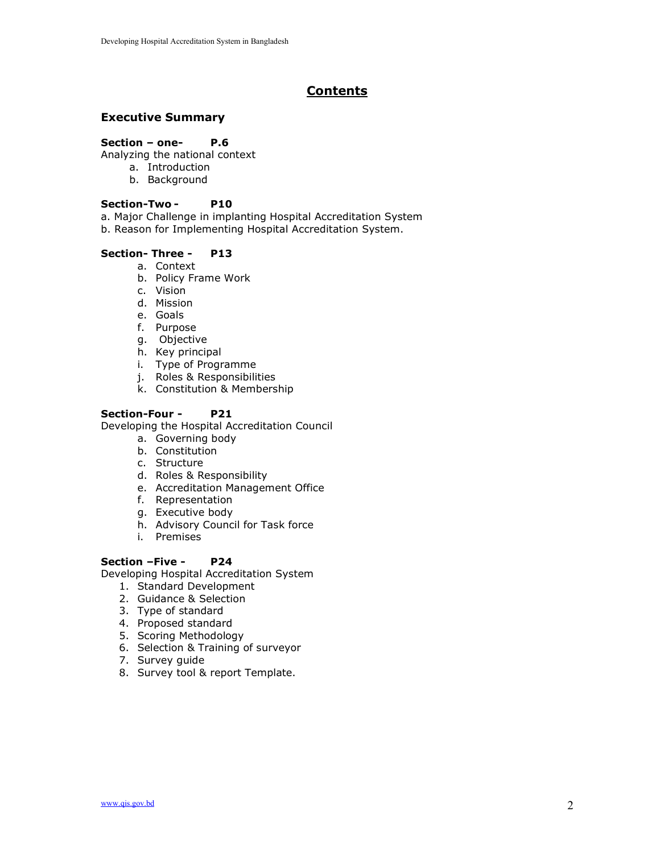# Contents

### Executive Summary

#### Section – one- P.6

- Analyzing the national context
	- a. Introduction
	- b. Background

#### Section-TwoP10

- a. Major Challenge in implanting Hospital Accreditation System
- b. Reason for Implementing Hospital Accreditation System.

#### Section- Three - P13

- a. Context
- b. Policy Frame Work
- c. Vision
- d. Mission
- e. Goals
- f. Purpose
- g. Objective
- h. Key principal
- i. Type of Programme
- j. Roles & Responsibilities
- k. Constitution & Membership

#### Section-Four - P21

Developing the Hospital Accreditation Council

- a. Governing body
- b. Constitution
- c. Structure
- d. Roles & Responsibility
- e. Accreditation Management Office
- f. Representation
- g. Executive body
- h. Advisory Council for Task force
- i. Premises

#### Section –Five - P24

Developing Hospital Accreditation System

- 1. Standard Development
- 2. Guidance & Selection
- 3. Type of standard
- 4. Proposed standard
- 5. Scoring Methodology
- 6. Selection & Training of surveyor
- 7. Survey guide
- 8. Survey tool & report Template.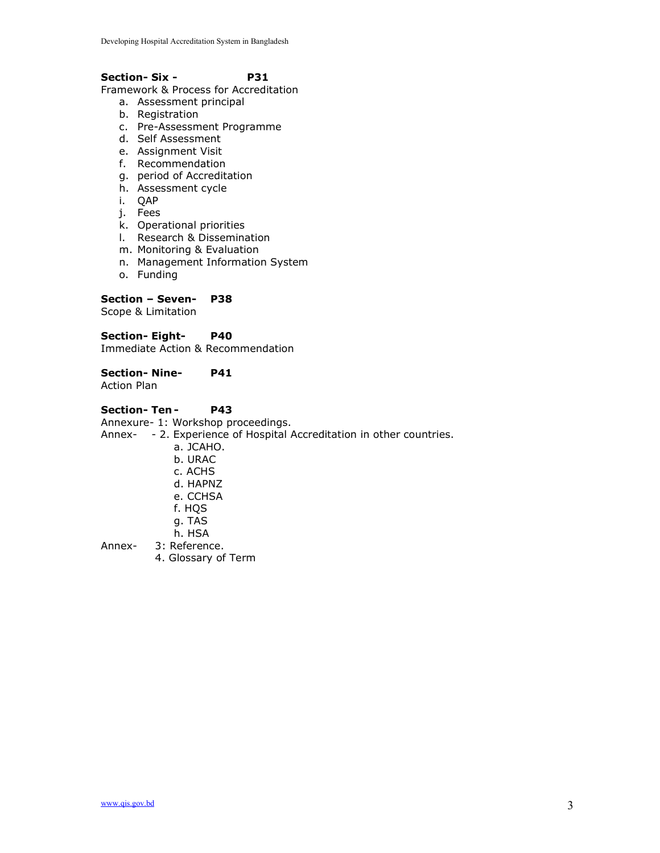#### Section- Six - P31

Framework & Process for Accreditation

- a. Assessment principal
- b. Registration
- c. Pre-Assessment Programme
- d. Self Assessment
- e. Assignment Visit
- f. Recommendation
- g. period of Accreditation
- h. Assessment cycle
- i. QAP
- j. Fees
- k. Operational priorities
- l. Research & Dissemination
- m. Monitoring & Evaluation
- n. Management Information System
- o. Funding

#### Section – Seven- P38

Scope & Limitation

#### Section- Eight- P40

Immediate Action & Recommendation

#### Section- Nine- P41

Action Plan

#### Section- Ten - P43

Annexure- 1: Workshop proceedings.

Annex- - 2. Experience of Hospital Accreditation in other countries.

- a. JCAHO.
- b. URAC
- c. ACHS
- d. HAPNZ
- e. CCHSA
- f. HQS
- g. TAS
- h. HSA
- Annex- 3: Reference.
	- 4. Glossary of Term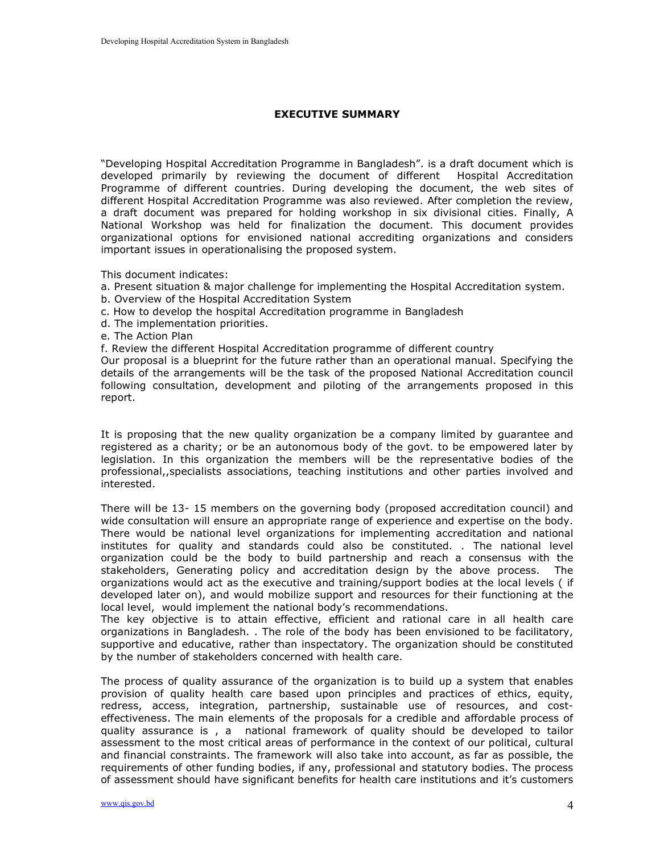#### EXECUTIVE SUMMARY

"Developing Hospital Accreditation Programme in Bangladesh". is a draft document which is developed primarily by reviewing the document of different Hospital Accreditation Programme of different countries. During developing the document, the web sites of different Hospital Accreditation Programme was also reviewed. After completion the review, a draft document was prepared for holding workshop in six divisional cities. Finally, A National Workshop was held for finalization the document. This document provides organizational options for envisioned national accrediting organizations and considers important issues in operationalising the proposed system.

This document indicates:

- a. Present situation & major challenge for implementing the Hospital Accreditation system.
- b. Overview of the Hospital Accreditation System
- c. How to develop the hospital Accreditation programme in Bangladesh
- d. The implementation priorities.
- e. The Action Plan
- f. Review the different Hospital Accreditation programme of different country

Our proposal is a blueprint for the future rather than an operational manual. Specifying the details of the arrangements will be the task of the proposed National Accreditation council following consultation, development and piloting of the arrangements proposed in this report.

It is proposing that the new quality organization be a company limited by guarantee and registered as a charity; or be an autonomous body of the govt. to be empowered later by legislation. In this organization the members will be the representative bodies of the professional,,specialists associations, teaching institutions and other parties involved and interested.

There will be 13- 15 members on the governing body (proposed accreditation council) and wide consultation will ensure an appropriate range of experience and expertise on the body. There would be national level organizations for implementing accreditation and national institutes for quality and standards could also be constituted. . The national level organization could be the body to build partnership and reach a consensus with the stakeholders, Generating policy and accreditation design by the above process. The organizations would act as the executive and training/support bodies at the local levels ( if developed later on), and would mobilize support and resources for their functioning at the local level, would implement the national body's recommendations.

The key objective is to attain effective, efficient and rational care in all health care organizations in Bangladesh. . The role of the body has been envisioned to be facilitatory, supportive and educative, rather than inspectatory. The organization should be constituted by the number of stakeholders concerned with health care.

The process of quality assurance of the organization is to build up a system that enables provision of quality health care based upon principles and practices of ethics, equity, redress, access, integration, partnership, sustainable use of resources, and costeffectiveness. The main elements of the proposals for a credible and affordable process of quality assurance is , a national framework of quality should be developed to tailor assessment to the most critical areas of performance in the context of our political, cultural and financial constraints. The framework will also take into account, as far as possible, the requirements of other funding bodies, if any, professional and statutory bodies. The process of assessment should have significant benefits for health care institutions and it's customers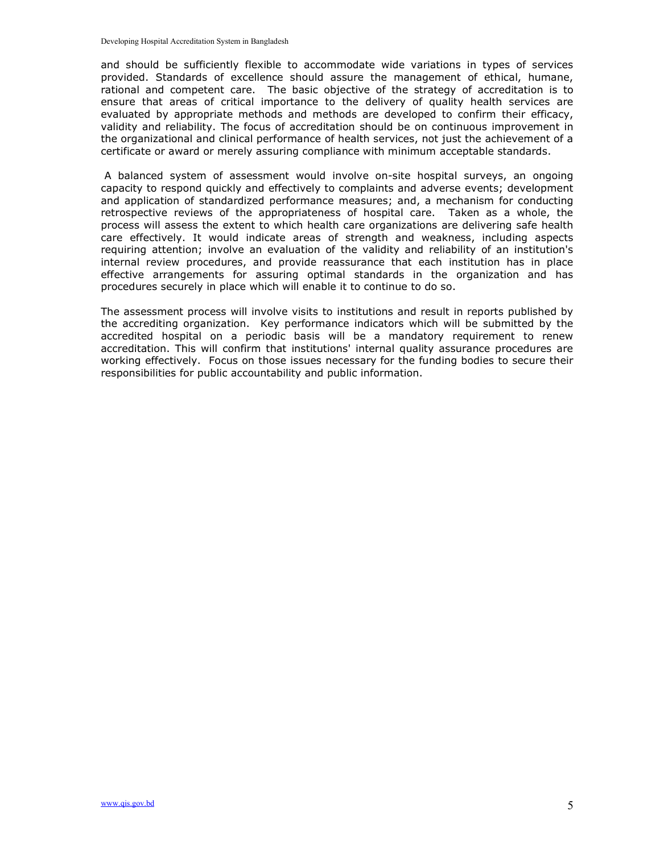and should be sufficiently flexible to accommodate wide variations in types of services provided. Standards of excellence should assure the management of ethical, humane, rational and competent care. The basic objective of the strategy of accreditation is to ensure that areas of critical importance to the delivery of quality health services are evaluated by appropriate methods and methods are developed to confirm their efficacy, validity and reliability. The focus of accreditation should be on continuous improvement in the organizational and clinical performance of health services, not just the achievement of a certificate or award or merely assuring compliance with minimum acceptable standards.

 A balanced system of assessment would involve on-site hospital surveys, an ongoing capacity to respond quickly and effectively to complaints and adverse events; development and application of standardized performance measures; and, a mechanism for conducting retrospective reviews of the appropriateness of hospital care. Taken as a whole, the process will assess the extent to which health care organizations are delivering safe health care effectively. It would indicate areas of strength and weakness, including aspects requiring attention; involve an evaluation of the validity and reliability of an institution's internal review procedures, and provide reassurance that each institution has in place effective arrangements for assuring optimal standards in the organization and has procedures securely in place which will enable it to continue to do so.

The assessment process will involve visits to institutions and result in reports published by the accrediting organization. Key performance indicators which will be submitted by the accredited hospital on a periodic basis will be a mandatory requirement to renew accreditation. This will confirm that institutions' internal quality assurance procedures are working effectively. Focus on those issues necessary for the funding bodies to secure their responsibilities for public accountability and public information.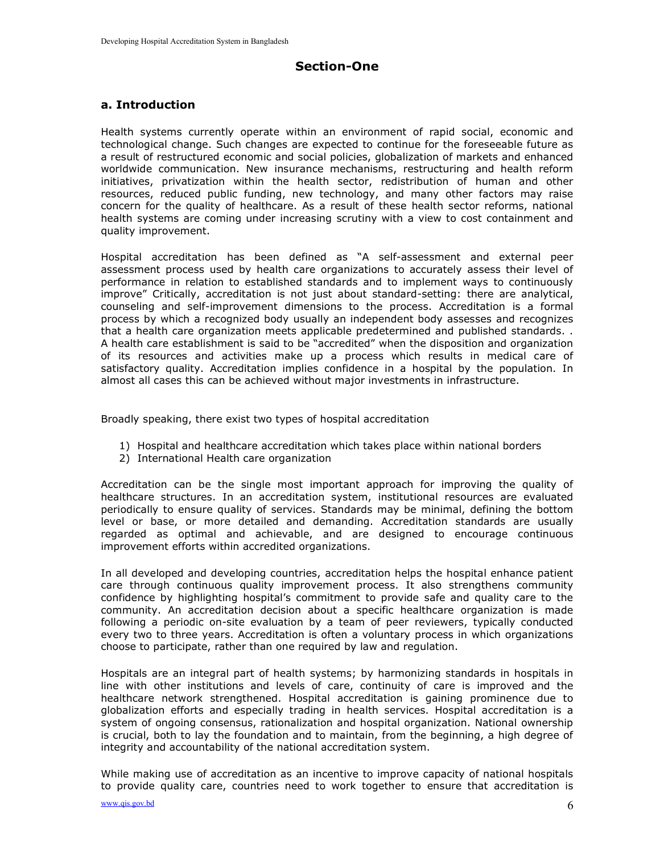# Section-One

### a. Introduction

Health systems currently operate within an environment of rapid social, economic and technological change. Such changes are expected to continue for the foreseeable future as a result of restructured economic and social policies, globalization of markets and enhanced worldwide communication. New insurance mechanisms, restructuring and health reform initiatives, privatization within the health sector, redistribution of human and other resources, reduced public funding, new technology, and many other factors may raise concern for the quality of healthcare. As a result of these health sector reforms, national health systems are coming under increasing scrutiny with a view to cost containment and quality improvement.

Hospital accreditation has been defined as "A self-assessment and external peer assessment process used by health care organizations to accurately assess their level of performance in relation to established standards and to implement ways to continuously improve" Critically, accreditation is not just about standard-setting: there are analytical, counseling and self-improvement dimensions to the process. Accreditation is a formal process by which a recognized body usually an independent body assesses and recognizes that a health care organization meets applicable predetermined and published standards. . A health care establishment is said to be "accredited" when the disposition and organization of its resources and activities make up a process which results in medical care of satisfactory quality. Accreditation implies confidence in a hospital by the population. In almost all cases this can be achieved without major investments in infrastructure.

Broadly speaking, there exist two types of hospital accreditation

- 1) Hospital and healthcare accreditation which takes place within national borders
- 2) International Health care organization

Accreditation can be the single most important approach for improving the quality of healthcare structures. In an accreditation system, institutional resources are evaluated periodically to ensure quality of services. Standards may be minimal, defining the bottom level or base, or more detailed and demanding. Accreditation standards are usually regarded as optimal and achievable, and are designed to encourage continuous improvement efforts within accredited organizations.

In all developed and developing countries, accreditation helps the hospital enhance patient care through continuous quality improvement process. It also strengthens community confidence by highlighting hospital's commitment to provide safe and quality care to the community. An accreditation decision about a specific healthcare organization is made following a periodic on-site evaluation by a team of peer reviewers, typically conducted every two to three years. Accreditation is often a voluntary process in which organizations choose to participate, rather than one required by law and regulation.

Hospitals are an integral part of health systems; by harmonizing standards in hospitals in line with other institutions and levels of care, continuity of care is improved and the healthcare network strengthened. Hospital accreditation is gaining prominence due to globalization efforts and especially trading in health services. Hospital accreditation is a system of ongoing consensus, rationalization and hospital organization. National ownership is crucial, both to lay the foundation and to maintain, from the beginning, a high degree of integrity and accountability of the national accreditation system.

While making use of accreditation as an incentive to improve capacity of national hospitals to provide quality care, countries need to work together to ensure that accreditation is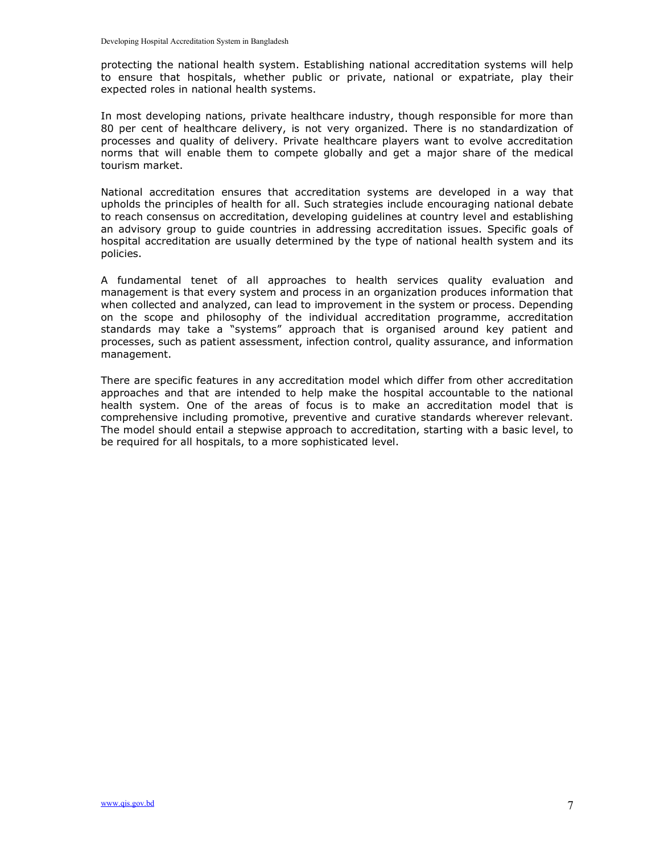protecting the national health system. Establishing national accreditation systems will help to ensure that hospitals, whether public or private, national or expatriate, play their expected roles in national health systems.

In most developing nations, private healthcare industry, though responsible for more than 80 per cent of healthcare delivery, is not very organized. There is no standardization of processes and quality of delivery. Private healthcare players want to evolve accreditation norms that will enable them to compete globally and get a major share of the medical tourism market.

National accreditation ensures that accreditation systems are developed in a way that upholds the principles of health for all. Such strategies include encouraging national debate to reach consensus on accreditation, developing guidelines at country level and establishing an advisory group to guide countries in addressing accreditation issues. Specific goals of hospital accreditation are usually determined by the type of national health system and its policies.

A fundamental tenet of all approaches to health services quality evaluation and management is that every system and process in an organization produces information that when collected and analyzed, can lead to improvement in the system or process. Depending on the scope and philosophy of the individual accreditation programme, accreditation standards may take a "systems" approach that is organised around key patient and processes, such as patient assessment, infection control, quality assurance, and information management.

There are specific features in any accreditation model which differ from other accreditation approaches and that are intended to help make the hospital accountable to the national health system. One of the areas of focus is to make an accreditation model that is comprehensive including promotive, preventive and curative standards wherever relevant. The model should entail a stepwise approach to accreditation, starting with a basic level, to be required for all hospitals, to a more sophisticated level.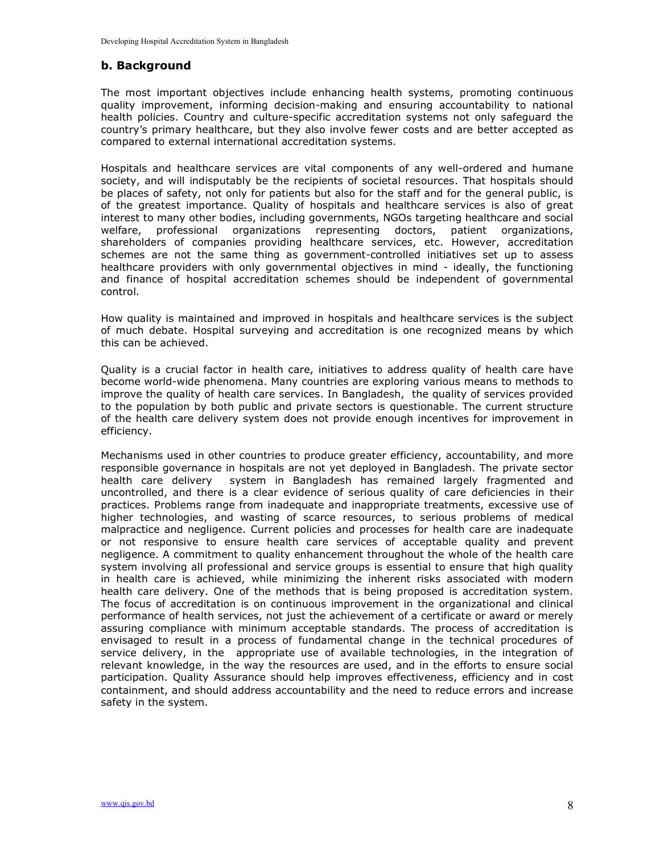# b. Background

The most important objectives include enhancing health systems, promoting continuous quality improvement, informing decision-making and ensuring accountability to national health policies. Country and culture-specific accreditation systems not only safeguard the country's primary healthcare, but they also involve fewer costs and are better accepted as compared to external international accreditation systems.

Hospitals and healthcare services are vital components of any well-ordered and humane society, and will indisputably be the recipients of societal resources. That hospitals should be places of safety, not only for patients but also for the staff and for the general public, is of the greatest importance. Quality of hospitals and healthcare services is also of great interest to many other bodies, including governments, NGOs targeting healthcare and social welfare, professional organizations representing doctors, patient organizations, shareholders of companies providing healthcare services, etc. However, accreditation schemes are not the same thing as government-controlled initiatives set up to assess healthcare providers with only governmental objectives in mind - ideally, the functioning and finance of hospital accreditation schemes should be independent of governmental control.

How quality is maintained and improved in hospitals and healthcare services is the subject of much debate. Hospital surveying and accreditation is one recognized means by which this can be achieved.

Quality is a crucial factor in health care, initiatives to address quality of health care have become world-wide phenomena. Many countries are exploring various means to methods to improve the quality of health care services. In Bangladesh, the quality of services provided to the population by both public and private sectors is questionable. The current structure of the health care delivery system does not provide enough incentives for improvement in efficiency.

Mechanisms used in other countries to produce greater efficiency, accountability, and more responsible governance in hospitals are not yet deployed in Bangladesh. The private sector health care delivery system in Bangladesh has remained largely fragmented and uncontrolled, and there is a clear evidence of serious quality of care deficiencies in their practices. Problems range from inadequate and inappropriate treatments, excessive use of higher technologies, and wasting of scarce resources, to serious problems of medical malpractice and negligence. Current policies and processes for health care are inadequate or not responsive to ensure health care services of acceptable quality and prevent negligence. A commitment to quality enhancement throughout the whole of the health care system involving all professional and service groups is essential to ensure that high quality in health care is achieved, while minimizing the inherent risks associated with modern health care delivery. One of the methods that is being proposed is accreditation system. The focus of accreditation is on continuous improvement in the organizational and clinical performance of health services, not just the achievement of a certificate or award or merely assuring compliance with minimum acceptable standards. The process of accreditation is envisaged to result in a process of fundamental change in the technical procedures of service delivery, in the appropriate use of available technologies, in the integration of relevant knowledge, in the way the resources are used, and in the efforts to ensure social participation. Quality Assurance should help improves effectiveness, efficiency and in cost containment, and should address accountability and the need to reduce errors and increase safety in the system.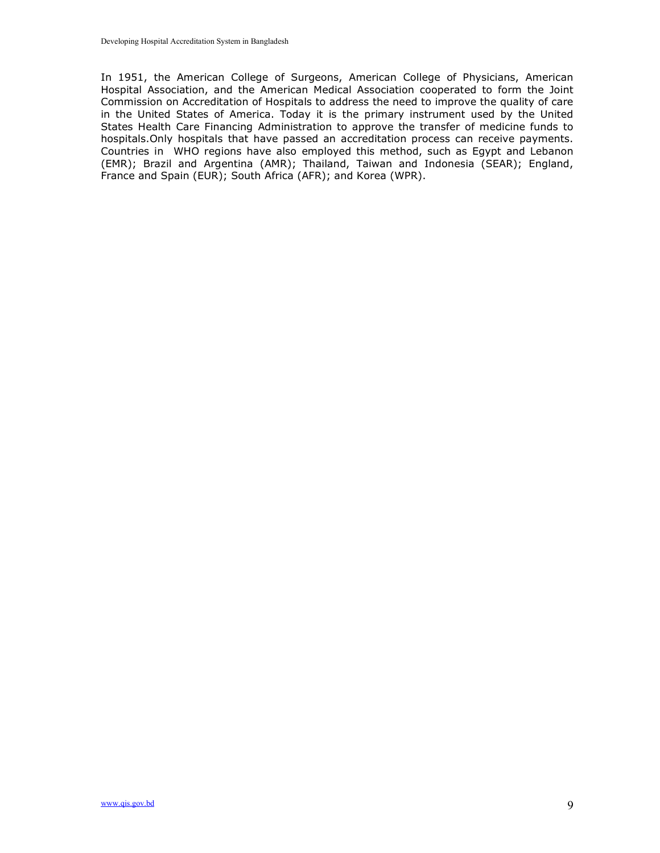In 1951, the American College of Surgeons, American College of Physicians, American Hospital Association, and the American Medical Association cooperated to form the Joint Commission on Accreditation of Hospitals to address the need to improve the quality of care in the United States of America. Today it is the primary instrument used by the United States Health Care Financing Administration to approve the transfer of medicine funds to hospitals.Only hospitals that have passed an accreditation process can receive payments. Countries in WHO regions have also employed this method, such as Egypt and Lebanon (EMR); Brazil and Argentina (AMR); Thailand, Taiwan and Indonesia (SEAR); England, France and Spain (EUR); South Africa (AFR); and Korea (WPR).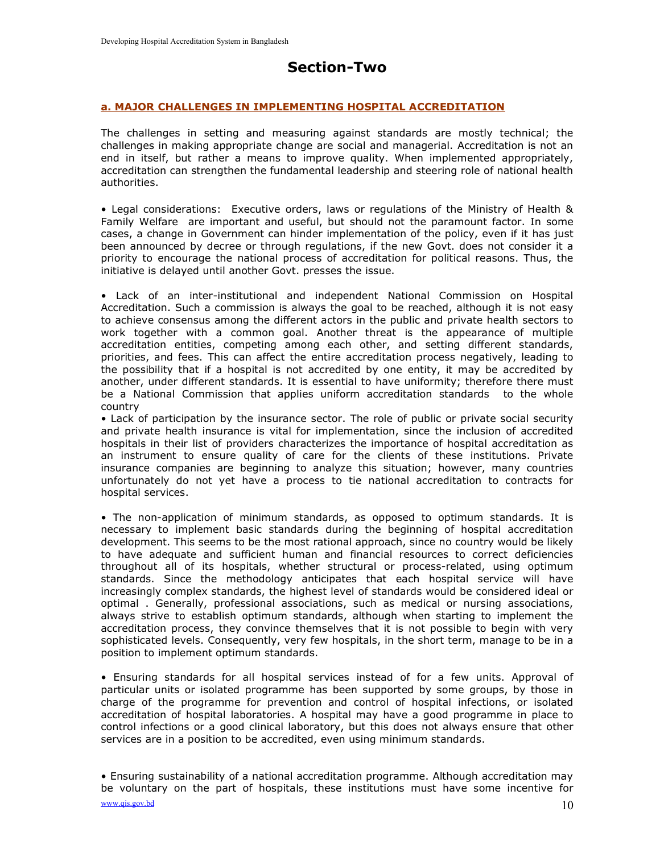# Section-Two

#### a. MAJOR CHALLENGES IN IMPLEMENTING HOSPITAL ACCREDITATION

The challenges in setting and measuring against standards are mostly technical; the challenges in making appropriate change are social and managerial. Accreditation is not an end in itself, but rather a means to improve quality. When implemented appropriately, accreditation can strengthen the fundamental leadership and steering role of national health authorities.

• Legal considerations: Executive orders, laws or regulations of the Ministry of Health & Family Welfare are important and useful, but should not the paramount factor. In some cases, a change in Government can hinder implementation of the policy, even if it has just been announced by decree or through regulations, if the new Govt. does not consider it a priority to encourage the national process of accreditation for political reasons. Thus, the initiative is delayed until another Govt. presses the issue.

• Lack of an inter-institutional and independent National Commission on Hospital Accreditation. Such a commission is always the goal to be reached, although it is not easy to achieve consensus among the different actors in the public and private health sectors to work together with a common goal. Another threat is the appearance of multiple accreditation entities, competing among each other, and setting different standards, priorities, and fees. This can affect the entire accreditation process negatively, leading to the possibility that if a hospital is not accredited by one entity, it may be accredited by another, under different standards. It is essential to have uniformity; therefore there must be a National Commission that applies uniform accreditation standards to the whole country

• Lack of participation by the insurance sector. The role of public or private social security and private health insurance is vital for implementation, since the inclusion of accredited hospitals in their list of providers characterizes the importance of hospital accreditation as an instrument to ensure quality of care for the clients of these institutions. Private insurance companies are beginning to analyze this situation; however, many countries unfortunately do not yet have a process to tie national accreditation to contracts for hospital services.

• The non-application of minimum standards, as opposed to optimum standards. It is necessary to implement basic standards during the beginning of hospital accreditation development. This seems to be the most rational approach, since no country would be likely to have adequate and sufficient human and financial resources to correct deficiencies throughout all of its hospitals, whether structural or process-related, using optimum standards. Since the methodology anticipates that each hospital service will have increasingly complex standards, the highest level of standards would be considered ideal or optimal . Generally, professional associations, such as medical or nursing associations, always strive to establish optimum standards, although when starting to implement the accreditation process, they convince themselves that it is not possible to begin with very sophisticated levels. Consequently, very few hospitals, in the short term, manage to be in a position to implement optimum standards.

• Ensuring standards for all hospital services instead of for a few units. Approval of particular units or isolated programme has been supported by some groups, by those in charge of the programme for prevention and control of hospital infections, or isolated accreditation of hospital laboratories. A hospital may have a good programme in place to control infections or a good clinical laboratory, but this does not always ensure that other services are in a position to be accredited, even using minimum standards.

www.qis.gov.bd  $10$ • Ensuring sustainability of a national accreditation programme. Although accreditation may be voluntary on the part of hospitals, these institutions must have some incentive for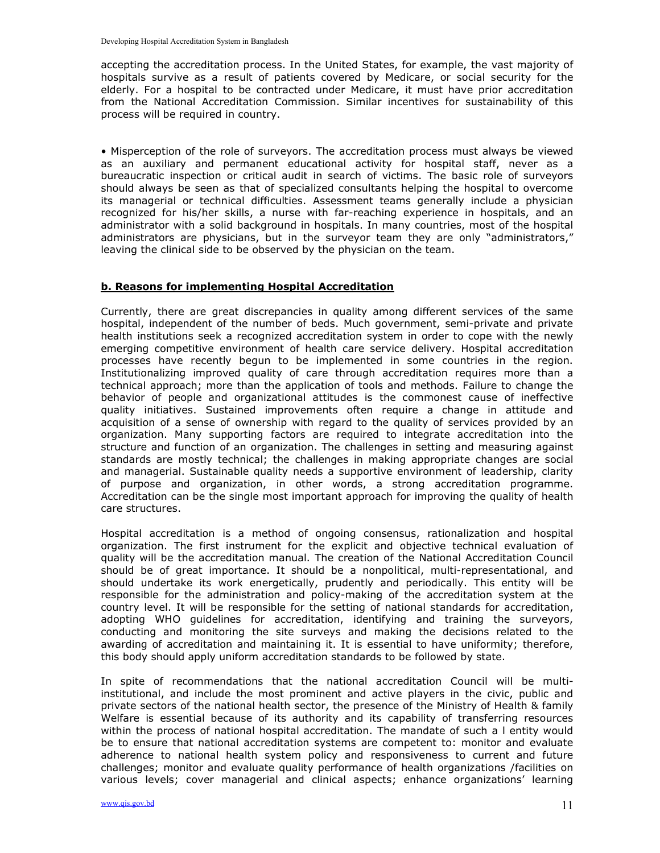accepting the accreditation process. In the United States, for example, the vast majority of hospitals survive as a result of patients covered by Medicare, or social security for the elderly. For a hospital to be contracted under Medicare, it must have prior accreditation from the National Accreditation Commission. Similar incentives for sustainability of this process will be required in country.

• Misperception of the role of surveyors. The accreditation process must always be viewed as an auxiliary and permanent educational activity for hospital staff, never as a bureaucratic inspection or critical audit in search of victims. The basic role of surveyors should always be seen as that of specialized consultants helping the hospital to overcome its managerial or technical difficulties. Assessment teams generally include a physician recognized for his/her skills, a nurse with far-reaching experience in hospitals, and an administrator with a solid background in hospitals. In many countries, most of the hospital administrators are physicians, but in the surveyor team they are only "administrators," leaving the clinical side to be observed by the physician on the team.

#### b. Reasons for implementing Hospital Accreditation

Currently, there are great discrepancies in quality among different services of the same hospital, independent of the number of beds. Much government, semi-private and private health institutions seek a recognized accreditation system in order to cope with the newly emerging competitive environment of health care service delivery. Hospital accreditation processes have recently begun to be implemented in some countries in the region. Institutionalizing improved quality of care through accreditation requires more than a technical approach; more than the application of tools and methods. Failure to change the behavior of people and organizational attitudes is the commonest cause of ineffective quality initiatives. Sustained improvements often require a change in attitude and acquisition of a sense of ownership with regard to the quality of services provided by an organization. Many supporting factors are required to integrate accreditation into the structure and function of an organization. The challenges in setting and measuring against standards are mostly technical; the challenges in making appropriate changes are social and managerial. Sustainable quality needs a supportive environment of leadership, clarity of purpose and organization, in other words, a strong accreditation programme. Accreditation can be the single most important approach for improving the quality of health care structures.

Hospital accreditation is a method of ongoing consensus, rationalization and hospital organization. The first instrument for the explicit and objective technical evaluation of quality will be the accreditation manual. The creation of the National Accreditation Council should be of great importance. It should be a nonpolitical, multi-representational, and should undertake its work energetically, prudently and periodically. This entity will be responsible for the administration and policy-making of the accreditation system at the country level. It will be responsible for the setting of national standards for accreditation, adopting WHO guidelines for accreditation, identifying and training the surveyors, conducting and monitoring the site surveys and making the decisions related to the awarding of accreditation and maintaining it. It is essential to have uniformity; therefore, this body should apply uniform accreditation standards to be followed by state.

In spite of recommendations that the national accreditation Council will be multiinstitutional, and include the most prominent and active players in the civic, public and private sectors of the national health sector, the presence of the Ministry of Health & family Welfare is essential because of its authority and its capability of transferring resources within the process of national hospital accreditation. The mandate of such a l entity would be to ensure that national accreditation systems are competent to: monitor and evaluate adherence to national health system policy and responsiveness to current and future challenges; monitor and evaluate quality performance of health organizations /facilities on various levels; cover managerial and clinical aspects; enhance organizations' learning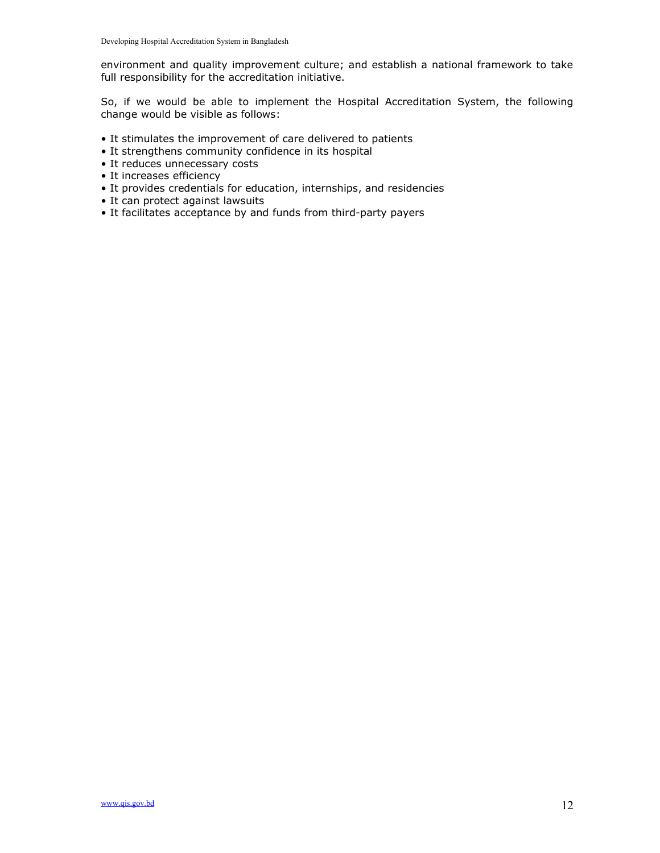environment and quality improvement culture; and establish a national framework to take full responsibility for the accreditation initiative.

So, if we would be able to implement the Hospital Accreditation System, the following change would be visible as follows:

- It stimulates the improvement of care delivered to patients
- It strengthens community confidence in its hospital
- It reduces unnecessary costs
- It increases efficiency
- It provides credentials for education, internships, and residencies
- It can protect against lawsuits
- It facilitates acceptance by and funds from third-party payers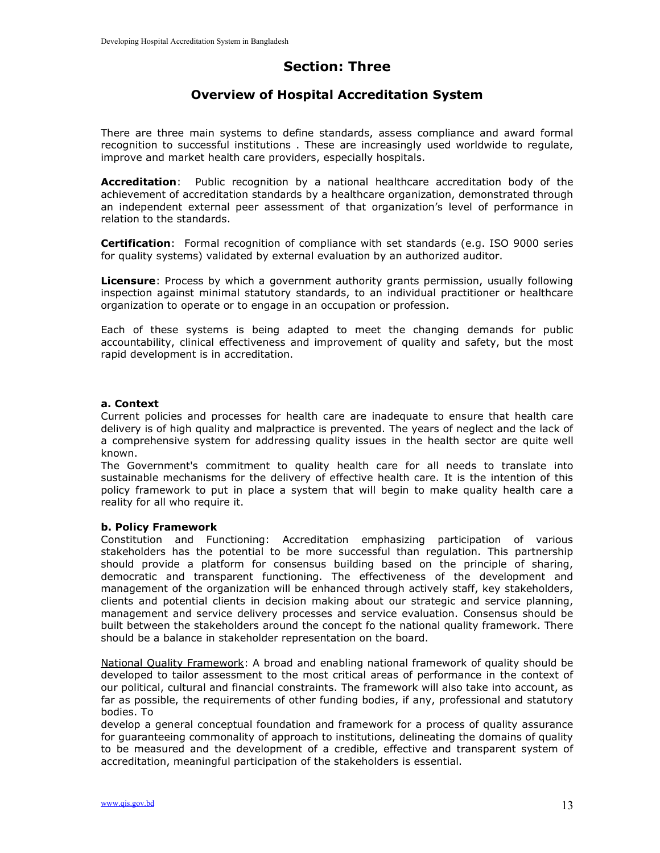# Section: Three

# Overview of Hospital Accreditation System

There are three main systems to define standards, assess compliance and award formal recognition to successful institutions . These are increasingly used worldwide to regulate, improve and market health care providers, especially hospitals.

Accreditation: Public recognition by a national healthcare accreditation body of the achievement of accreditation standards by a healthcare organization, demonstrated through an independent external peer assessment of that organization's level of performance in relation to the standards.

Certification: Formal recognition of compliance with set standards (e.g. ISO 9000 series for quality systems) validated by external evaluation by an authorized auditor.

**Licensure:** Process by which a government authority grants permission, usually following inspection against minimal statutory standards, to an individual practitioner or healthcare organization to operate or to engage in an occupation or profession.

Each of these systems is being adapted to meet the changing demands for public accountability, clinical effectiveness and improvement of quality and safety, but the most rapid development is in accreditation.

#### a. Context

Current policies and processes for health care are inadequate to ensure that health care delivery is of high quality and malpractice is prevented. The years of neglect and the lack of a comprehensive system for addressing quality issues in the health sector are quite well known.

The Government's commitment to quality health care for all needs to translate into sustainable mechanisms for the delivery of effective health care. It is the intention of this policy framework to put in place a system that will begin to make quality health care a reality for all who require it.

#### b. Policy Framework

Constitution and Functioning: Accreditation emphasizing participation of various stakeholders has the potential to be more successful than regulation. This partnership should provide a platform for consensus building based on the principle of sharing, democratic and transparent functioning. The effectiveness of the development and management of the organization will be enhanced through actively staff, key stakeholders, clients and potential clients in decision making about our strategic and service planning, management and service delivery processes and service evaluation. Consensus should be built between the stakeholders around the concept fo the national quality framework. There should be a balance in stakeholder representation on the board.

National Quality Framework: A broad and enabling national framework of quality should be developed to tailor assessment to the most critical areas of performance in the context of our political, cultural and financial constraints. The framework will also take into account, as far as possible, the requirements of other funding bodies, if any, professional and statutory bodies. To

develop a general conceptual foundation and framework for a process of quality assurance for guaranteeing commonality of approach to institutions, delineating the domains of quality to be measured and the development of a credible, effective and transparent system of accreditation, meaningful participation of the stakeholders is essential.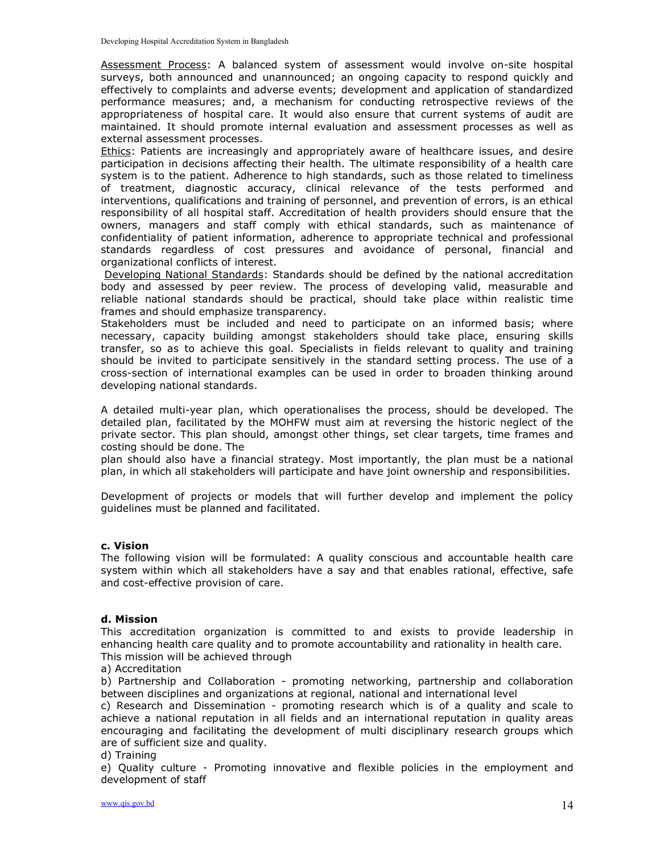Assessment Process: A balanced system of assessment would involve on-site hospital surveys, both announced and unannounced; an ongoing capacity to respond quickly and effectively to complaints and adverse events; development and application of standardized performance measures; and, a mechanism for conducting retrospective reviews of the appropriateness of hospital care. It would also ensure that current systems of audit are maintained. It should promote internal evaluation and assessment processes as well as external assessment processes.

Ethics: Patients are increasingly and appropriately aware of healthcare issues, and desire participation in decisions affecting their health. The ultimate responsibility of a health care system is to the patient. Adherence to high standards, such as those related to timeliness of treatment, diagnostic accuracy, clinical relevance of the tests performed and interventions, qualifications and training of personnel, and prevention of errors, is an ethical responsibility of all hospital staff. Accreditation of health providers should ensure that the owners, managers and staff comply with ethical standards, such as maintenance of confidentiality of patient information, adherence to appropriate technical and professional standards regardless of cost pressures and avoidance of personal, financial and organizational conflicts of interest.

 Developing National Standards: Standards should be defined by the national accreditation body and assessed by peer review. The process of developing valid, measurable and reliable national standards should be practical, should take place within realistic time frames and should emphasize transparency.

Stakeholders must be included and need to participate on an informed basis; where necessary, capacity building amongst stakeholders should take place, ensuring skills transfer, so as to achieve this goal. Specialists in fields relevant to quality and training should be invited to participate sensitively in the standard setting process. The use of a cross-section of international examples can be used in order to broaden thinking around developing national standards.

A detailed multi-year plan, which operationalises the process, should be developed. The detailed plan, facilitated by the MOHFW must aim at reversing the historic neglect of the private sector. This plan should, amongst other things, set clear targets, time frames and costing should be done. The

plan should also have a financial strategy. Most importantly, the plan must be a national plan, in which all stakeholders will participate and have joint ownership and responsibilities.

Development of projects or models that will further develop and implement the policy guidelines must be planned and facilitated.

#### c. Vision

The following vision will be formulated: A quality conscious and accountable health care system within which all stakeholders have a say and that enables rational, effective, safe and cost-effective provision of care.

#### d. Mission

This accreditation organization is committed to and exists to provide leadership in enhancing health care quality and to promote accountability and rationality in health care. This mission will be achieved through

a) Accreditation

b) Partnership and Collaboration - promoting networking, partnership and collaboration between disciplines and organizations at regional, national and international level

c) Research and Dissemination - promoting research which is of a quality and scale to achieve a national reputation in all fields and an international reputation in quality areas encouraging and facilitating the development of multi disciplinary research groups which are of sufficient size and quality.

#### d) Training

e) Quality culture - Promoting innovative and flexible policies in the employment and development of staff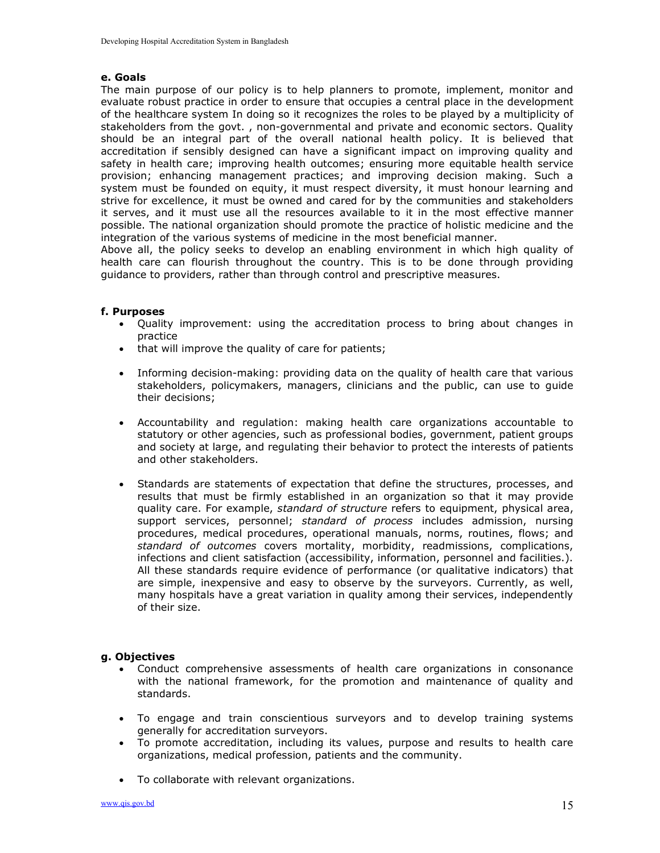#### e. Goals

The main purpose of our policy is to help planners to promote, implement, monitor and evaluate robust practice in order to ensure that occupies a central place in the development of the healthcare system In doing so it recognizes the roles to be played by a multiplicity of stakeholders from the govt. , non-governmental and private and economic sectors. Quality should be an integral part of the overall national health policy. It is believed that accreditation if sensibly designed can have a significant impact on improving quality and safety in health care; improving health outcomes; ensuring more equitable health service provision; enhancing management practices; and improving decision making. Such a system must be founded on equity, it must respect diversity, it must honour learning and strive for excellence, it must be owned and cared for by the communities and stakeholders it serves, and it must use all the resources available to it in the most effective manner possible. The national organization should promote the practice of holistic medicine and the integration of the various systems of medicine in the most beneficial manner.

Above all, the policy seeks to develop an enabling environment in which high quality of health care can flourish throughout the country. This is to be done through providing guidance to providers, rather than through control and prescriptive measures.

#### f. Purposes

- Quality improvement: using the accreditation process to bring about changes in practice
- that will improve the quality of care for patients;
- Informing decision-making: providing data on the quality of health care that various stakeholders, policymakers, managers, clinicians and the public, can use to guide their decisions;
- Accountability and regulation: making health care organizations accountable to statutory or other agencies, such as professional bodies, government, patient groups and society at large, and regulating their behavior to protect the interests of patients and other stakeholders.
- Standards are statements of expectation that define the structures, processes, and results that must be firmly established in an organization so that it may provide quality care. For example, *standard of structure* refers to equipment, physical area, support services, personnel; standard of process includes admission, nursing procedures, medical procedures, operational manuals, norms, routines, flows; and standard of outcomes covers mortality, morbidity, readmissions, complications, infections and client satisfaction (accessibility, information, personnel and facilities.). All these standards require evidence of performance (or qualitative indicators) that are simple, inexpensive and easy to observe by the surveyors. Currently, as well, many hospitals have a great variation in quality among their services, independently of their size.

#### g. Objectives

- Conduct comprehensive assessments of health care organizations in consonance with the national framework, for the promotion and maintenance of quality and standards.
- To engage and train conscientious surveyors and to develop training systems generally for accreditation surveyors.
- To promote accreditation, including its values, purpose and results to health care organizations, medical profession, patients and the community.
- To collaborate with relevant organizations.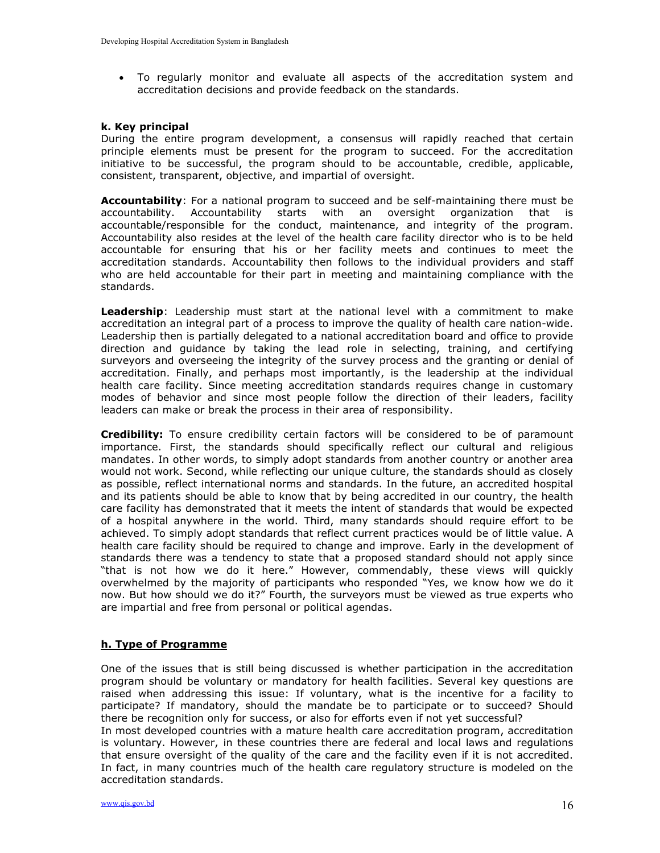To regularly monitor and evaluate all aspects of the accreditation system and accreditation decisions and provide feedback on the standards.

#### k. Key principal

During the entire program development, a consensus will rapidly reached that certain principle elements must be present for the program to succeed. For the accreditation initiative to be successful, the program should to be accountable, credible, applicable, consistent, transparent, objective, and impartial of oversight.

Accountability: For a national program to succeed and be self-maintaining there must be accountability. Accountability starts with an oversight organization that is accountable/responsible for the conduct, maintenance, and integrity of the program. Accountability also resides at the level of the health care facility director who is to be held accountable for ensuring that his or her facility meets and continues to meet the accreditation standards. Accountability then follows to the individual providers and staff who are held accountable for their part in meeting and maintaining compliance with the standards.

Leadership: Leadership must start at the national level with a commitment to make accreditation an integral part of a process to improve the quality of health care nation-wide. Leadership then is partially delegated to a national accreditation board and office to provide direction and guidance by taking the lead role in selecting, training, and certifying surveyors and overseeing the integrity of the survey process and the granting or denial of accreditation. Finally, and perhaps most importantly, is the leadership at the individual health care facility. Since meeting accreditation standards requires change in customary modes of behavior and since most people follow the direction of their leaders, facility leaders can make or break the process in their area of responsibility.

Credibility: To ensure credibility certain factors will be considered to be of paramount importance. First, the standards should specifically reflect our cultural and religious mandates. In other words, to simply adopt standards from another country or another area would not work. Second, while reflecting our unique culture, the standards should as closely as possible, reflect international norms and standards. In the future, an accredited hospital and its patients should be able to know that by being accredited in our country, the health care facility has demonstrated that it meets the intent of standards that would be expected of a hospital anywhere in the world. Third, many standards should require effort to be achieved. To simply adopt standards that reflect current practices would be of little value. A health care facility should be required to change and improve. Early in the development of standards there was a tendency to state that a proposed standard should not apply since "that is not how we do it here." However, commendably, these views will quickly overwhelmed by the majority of participants who responded "Yes, we know how we do it now. But how should we do it?" Fourth, the surveyors must be viewed as true experts who are impartial and free from personal or political agendas.

#### h. Type of Programme

One of the issues that is still being discussed is whether participation in the accreditation program should be voluntary or mandatory for health facilities. Several key questions are raised when addressing this issue: If voluntary, what is the incentive for a facility to participate? If mandatory, should the mandate be to participate or to succeed? Should there be recognition only for success, or also for efforts even if not yet successful?

In most developed countries with a mature health care accreditation program, accreditation is voluntary. However, in these countries there are federal and local laws and regulations that ensure oversight of the quality of the care and the facility even if it is not accredited. In fact, in many countries much of the health care regulatory structure is modeled on the accreditation standards.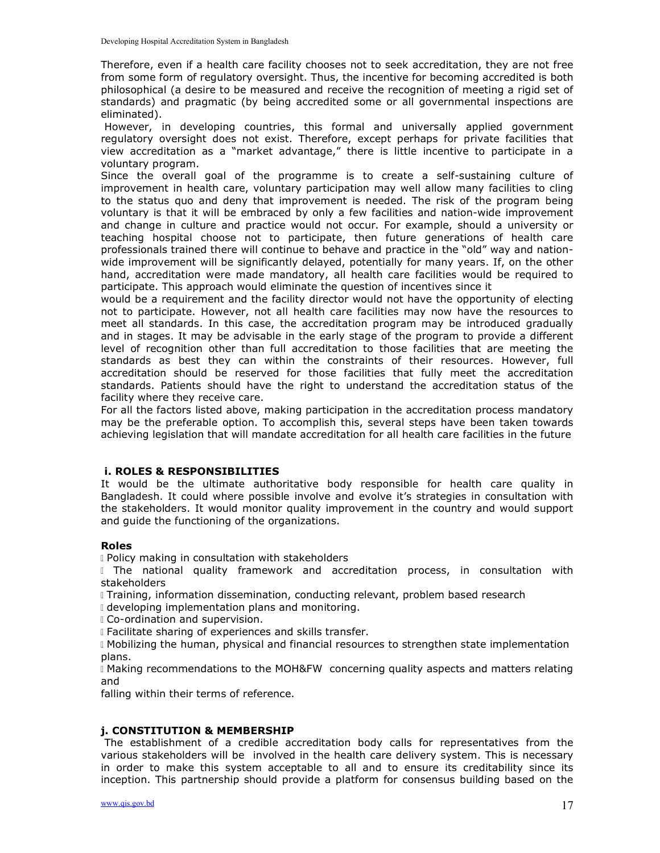Therefore, even if a health care facility chooses not to seek accreditation, they are not free from some form of regulatory oversight. Thus, the incentive for becoming accredited is both philosophical (a desire to be measured and receive the recognition of meeting a rigid set of standards) and pragmatic (by being accredited some or all governmental inspections are eliminated).

 However, in developing countries, this formal and universally applied government regulatory oversight does not exist. Therefore, except perhaps for private facilities that view accreditation as a "market advantage," there is little incentive to participate in a voluntary program.

Since the overall goal of the programme is to create a self-sustaining culture of improvement in health care, voluntary participation may well allow many facilities to cling to the status quo and deny that improvement is needed. The risk of the program being voluntary is that it will be embraced by only a few facilities and nation-wide improvement and change in culture and practice would not occur. For example, should a university or teaching hospital choose not to participate, then future generations of health care professionals trained there will continue to behave and practice in the "old" way and nationwide improvement will be significantly delayed, potentially for many years. If, on the other hand, accreditation were made mandatory, all health care facilities would be required to participate. This approach would eliminate the question of incentives since it

would be a requirement and the facility director would not have the opportunity of electing not to participate. However, not all health care facilities may now have the resources to meet all standards. In this case, the accreditation program may be introduced gradually and in stages. It may be advisable in the early stage of the program to provide a different level of recognition other than full accreditation to those facilities that are meeting the standards as best they can within the constraints of their resources. However, full accreditation should be reserved for those facilities that fully meet the accreditation standards. Patients should have the right to understand the accreditation status of the facility where they receive care.

For all the factors listed above, making participation in the accreditation process mandatory may be the preferable option. To accomplish this, several steps have been taken towards achieving legislation that will mandate accreditation for all health care facilities in the future

#### i. ROLES & RESPONSIBILITIES

It would be the ultimate authoritative body responsible for health care quality in Bangladesh. It could where possible involve and evolve it's strategies in consultation with the stakeholders. It would monitor quality improvement in the country and would support and guide the functioning of the organizations.

#### Roles

Policy making in consultation with stakeholders

I The national quality framework and accreditation process, in consultation with stakeholders

Training, information dissemination, conducting relevant, problem based research

I developing implementation plans and monitoring.

Co-ordination and supervision.

Facilitate sharing of experiences and skills transfer.

 Mobilizing the human, physical and financial resources to strengthen state implementation plans.

 Making recommendations to the MOH&FW concerning quality aspects and matters relating and

falling within their terms of reference.

#### j. CONSTITUTION & MEMBERSHIP

 The establishment of a credible accreditation body calls for representatives from the various stakeholders will be involved in the health care delivery system. This is necessary in order to make this system acceptable to all and to ensure its creditability since its inception. This partnership should provide a platform for consensus building based on the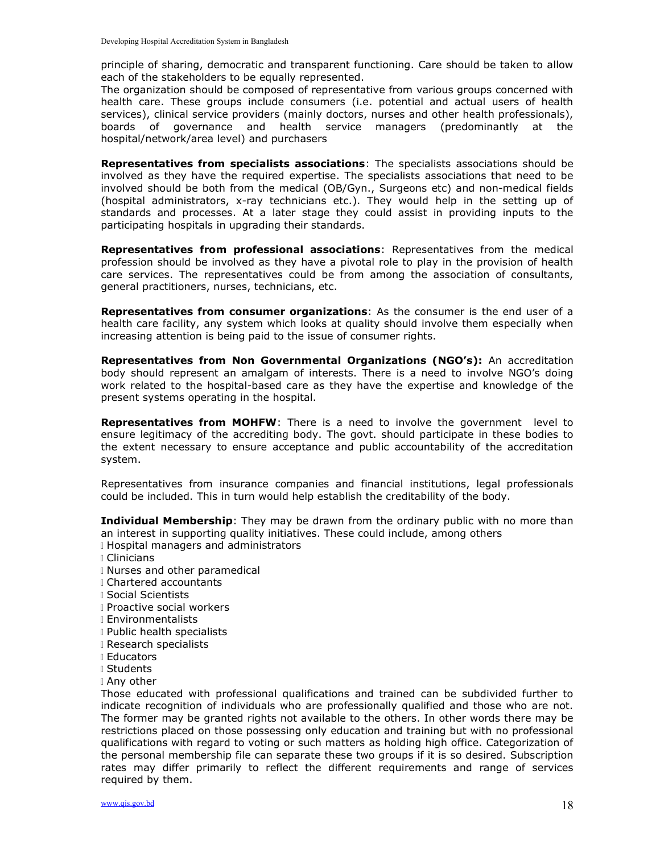principle of sharing, democratic and transparent functioning. Care should be taken to allow each of the stakeholders to be equally represented.

The organization should be composed of representative from various groups concerned with health care. These groups include consumers (i.e. potential and actual users of health services), clinical service providers (mainly doctors, nurses and other health professionals), boards of governance and health service managers (predominantly at the hospital/network/area level) and purchasers

**Representatives from specialists associations:** The specialists associations should be involved as they have the required expertise. The specialists associations that need to be involved should be both from the medical (OB/Gyn., Surgeons etc) and non-medical fields (hospital administrators, x-ray technicians etc.). They would help in the setting up of standards and processes. At a later stage they could assist in providing inputs to the participating hospitals in upgrading their standards.

Representatives from professional associations: Representatives from the medical profession should be involved as they have a pivotal role to play in the provision of health care services. The representatives could be from among the association of consultants, general practitioners, nurses, technicians, etc.

**Representatives from consumer organizations:** As the consumer is the end user of a health care facility, any system which looks at quality should involve them especially when increasing attention is being paid to the issue of consumer rights.

Representatives from Non Governmental Organizations (NGO's): An accreditation body should represent an amalgam of interests. There is a need to involve NGO's doing work related to the hospital-based care as they have the expertise and knowledge of the present systems operating in the hospital.

Representatives from MOHFW: There is a need to involve the government level to ensure legitimacy of the accrediting body. The govt. should participate in these bodies to the extent necessary to ensure acceptance and public accountability of the accreditation system.

Representatives from insurance companies and financial institutions, legal professionals could be included. This in turn would help establish the creditability of the body.

**Individual Membership:** They may be drawn from the ordinary public with no more than an interest in supporting quality initiatives. These could include, among others **I** Hospital managers and administrators

- Clinicians
- 
- Nurses and other paramedical
- Chartered accountants
- Social Scientists
- Proactive social workers
- Environmentalists
- Public health specialists
- Research specialists
- Educators
- Students
- Any other

Those educated with professional qualifications and trained can be subdivided further to indicate recognition of individuals who are professionally qualified and those who are not. The former may be granted rights not available to the others. In other words there may be restrictions placed on those possessing only education and training but with no professional qualifications with regard to voting or such matters as holding high office. Categorization of the personal membership file can separate these two groups if it is so desired. Subscription rates may differ primarily to reflect the different requirements and range of services required by them.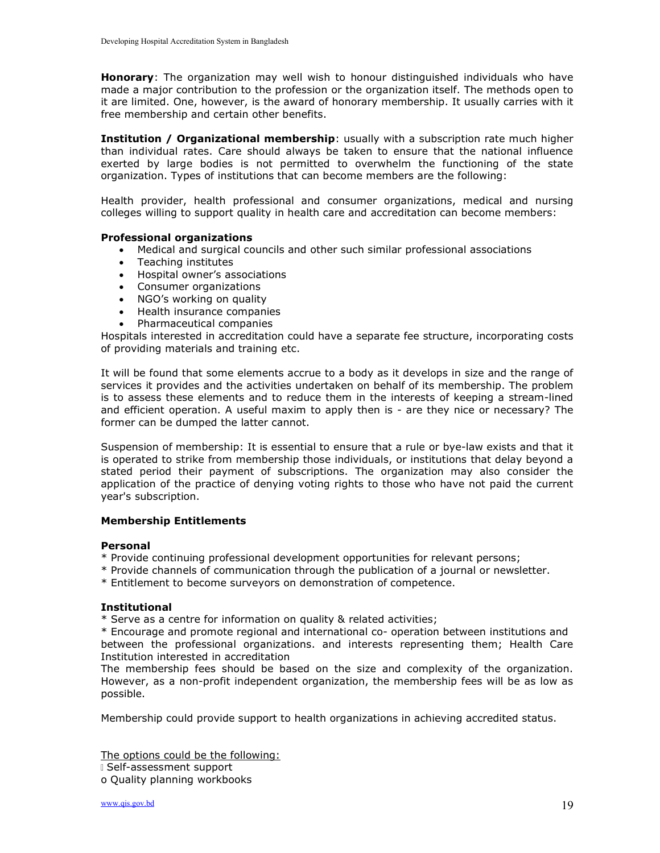**Honorary:** The organization may well wish to honour distinguished individuals who have made a major contribution to the profession or the organization itself. The methods open to it are limited. One, however, is the award of honorary membership. It usually carries with it free membership and certain other benefits.

**Institution / Organizational membership**: usually with a subscription rate much higher than individual rates. Care should always be taken to ensure that the national influence exerted by large bodies is not permitted to overwhelm the functioning of the state organization. Types of institutions that can become members are the following:

Health provider, health professional and consumer organizations, medical and nursing colleges willing to support quality in health care and accreditation can become members:

#### Professional organizations

- Medical and surgical councils and other such similar professional associations
- Teaching institutes
- Hospital owner's associations
- Consumer organizations
- NGO's working on quality
- Health insurance companies
- Pharmaceutical companies

Hospitals interested in accreditation could have a separate fee structure, incorporating costs of providing materials and training etc.

It will be found that some elements accrue to a body as it develops in size and the range of services it provides and the activities undertaken on behalf of its membership. The problem is to assess these elements and to reduce them in the interests of keeping a stream-lined and efficient operation. A useful maxim to apply then is - are they nice or necessary? The former can be dumped the latter cannot.

Suspension of membership: It is essential to ensure that a rule or bye-law exists and that it is operated to strike from membership those individuals, or institutions that delay beyond a stated period their payment of subscriptions. The organization may also consider the application of the practice of denying voting rights to those who have not paid the current year's subscription.

#### Membership Entitlements

#### Personal

- \* Provide continuing professional development opportunities for relevant persons;
- \* Provide channels of communication through the publication of a journal or newsletter.
- \* Entitlement to become surveyors on demonstration of competence.

#### Institutional

\* Serve as a centre for information on quality & related activities;

\* Encourage and promote regional and international co- operation between institutions and between the professional organizations. and interests representing them; Health Care Institution interested in accreditation

The membership fees should be based on the size and complexity of the organization. However, as a non-profit independent organization, the membership fees will be as low as possible.

Membership could provide support to health organizations in achieving accredited status.

The options could be the following:

Self-assessment support

o Quality planning workbooks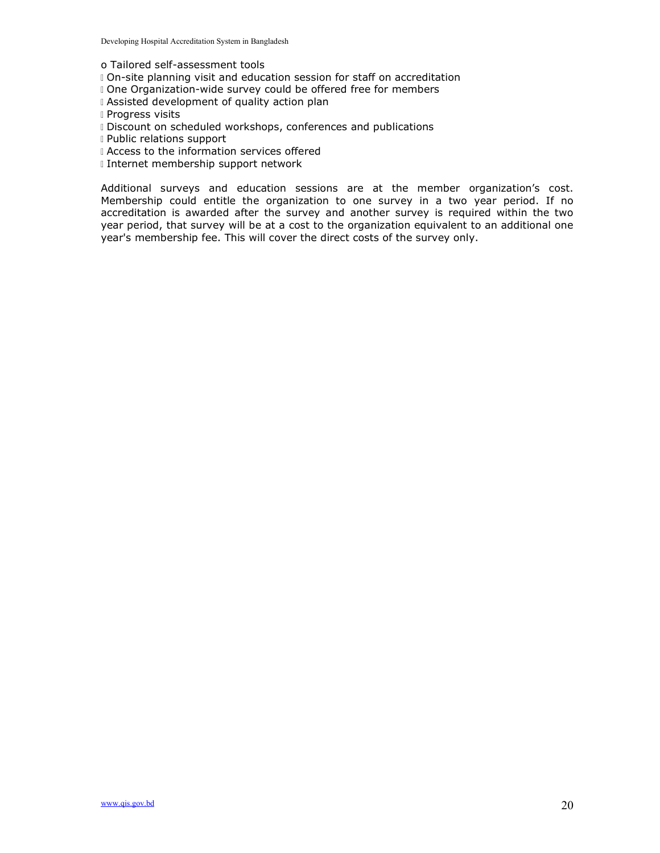o Tailored self-assessment tools

- On-site planning visit and education session for staff on accreditation
- **One Organization-wide survey could be offered free for members**
- Assisted development of quality action plan
- **Progress visits**
- Discount on scheduled workshops, conferences and publications
- Public relations support
- I Access to the information services offered
- Internet membership support network

Additional surveys and education sessions are at the member organization's cost. Membership could entitle the organization to one survey in a two year period. If no accreditation is awarded after the survey and another survey is required within the two year period, that survey will be at a cost to the organization equivalent to an additional one year's membership fee. This will cover the direct costs of the survey only.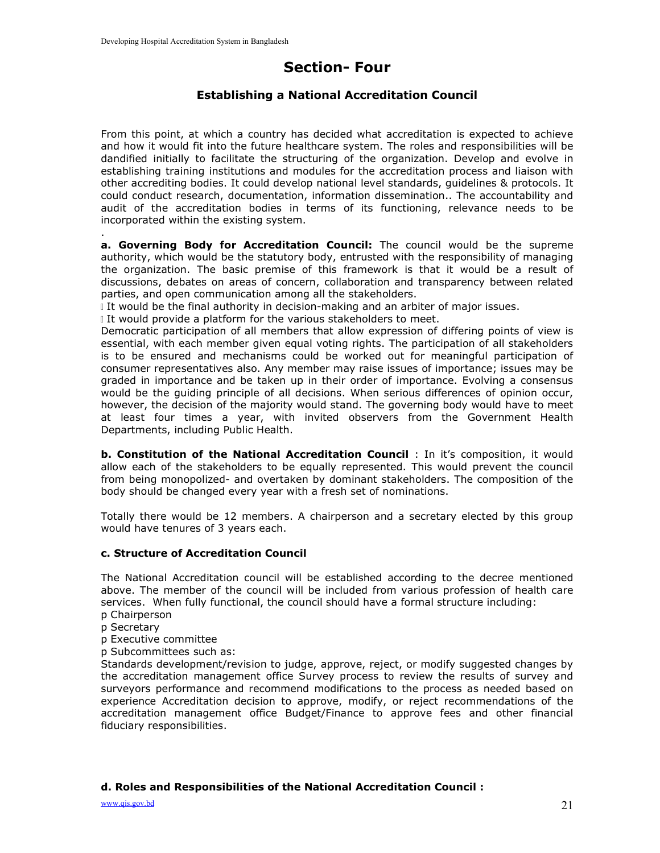# Section- Four

# Establishing a National Accreditation Council

From this point, at which a country has decided what accreditation is expected to achieve and how it would fit into the future healthcare system. The roles and responsibilities will be dandified initially to facilitate the structuring of the organization. Develop and evolve in establishing training institutions and modules for the accreditation process and liaison with other accrediting bodies. It could develop national level standards, guidelines & protocols. It could conduct research, documentation, information dissemination.. The accountability and audit of the accreditation bodies in terms of its functioning, relevance needs to be incorporated within the existing system.

a. Governing Body for Accreditation Council: The council would be the supreme authority, which would be the statutory body, entrusted with the responsibility of managing the organization. The basic premise of this framework is that it would be a result of discussions, debates on areas of concern, collaboration and transparency between related parties, and open communication among all the stakeholders.

If would be the final authority in decision-making and an arbiter of major issues.

If would provide a platform for the various stakeholders to meet.

Democratic participation of all members that allow expression of differing points of view is essential, with each member given equal voting rights. The participation of all stakeholders is to be ensured and mechanisms could be worked out for meaningful participation of consumer representatives also. Any member may raise issues of importance; issues may be graded in importance and be taken up in their order of importance. Evolving a consensus would be the guiding principle of all decisions. When serious differences of opinion occur, however, the decision of the majority would stand. The governing body would have to meet at least four times a year, with invited observers from the Government Health Departments, including Public Health.

**b. Constitution of the National Accreditation Council** : In it's composition, it would allow each of the stakeholders to be equally represented. This would prevent the council from being monopolized- and overtaken by dominant stakeholders. The composition of the body should be changed every year with a fresh set of nominations.

Totally there would be 12 members. A chairperson and a secretary elected by this group would have tenures of 3 years each.

#### c. Structure of Accreditation Council

The National Accreditation council will be established according to the decree mentioned above. The member of the council will be included from various profession of health care services. When fully functional, the council should have a formal structure including:

- p Chairperson
- p Secretary

.

- p Executive committee
- p Subcommittees such as:

Standards development/revision to judge, approve, reject, or modify suggested changes by the accreditation management office Survey process to review the results of survey and surveyors performance and recommend modifications to the process as needed based on experience Accreditation decision to approve, modify, or reject recommendations of the accreditation management office Budget/Finance to approve fees and other financial fiduciary responsibilities.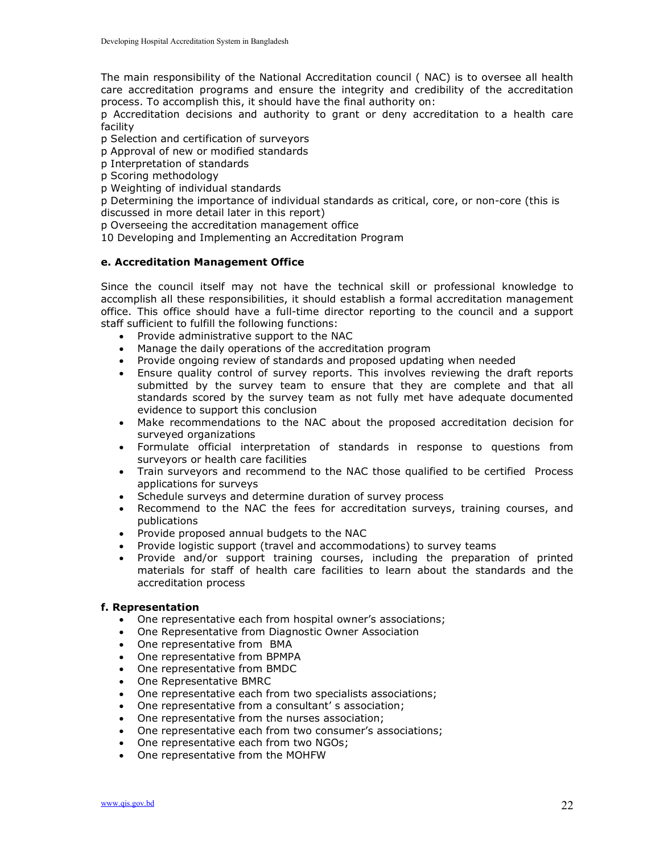The main responsibility of the National Accreditation council ( NAC) is to oversee all health care accreditation programs and ensure the integrity and credibility of the accreditation process. To accomplish this, it should have the final authority on:

p Accreditation decisions and authority to grant or deny accreditation to a health care facility

p Selection and certification of surveyors

p Approval of new or modified standards

- p Interpretation of standards
- p Scoring methodology

p Weighting of individual standards

p Determining the importance of individual standards as critical, core, or non-core (this is discussed in more detail later in this report)

p Overseeing the accreditation management office

10 Developing and Implementing an Accreditation Program

#### e. Accreditation Management Office

Since the council itself may not have the technical skill or professional knowledge to accomplish all these responsibilities, it should establish a formal accreditation management office. This office should have a full-time director reporting to the council and a support staff sufficient to fulfill the following functions:

- Provide administrative support to the NAC
- Manage the daily operations of the accreditation program
- Provide ongoing review of standards and proposed updating when needed
- Ensure quality control of survey reports. This involves reviewing the draft reports submitted by the survey team to ensure that they are complete and that all standards scored by the survey team as not fully met have adequate documented evidence to support this conclusion
- Make recommendations to the NAC about the proposed accreditation decision for surveyed organizations
- Formulate official interpretation of standards in response to questions from surveyors or health care facilities
- Train surveyors and recommend to the NAC those qualified to be certified Process applications for surveys
- Schedule surveys and determine duration of survey process
- Recommend to the NAC the fees for accreditation surveys, training courses, and publications
- Provide proposed annual budgets to the NAC
- Provide logistic support (travel and accommodations) to survey teams
- Provide and/or support training courses, including the preparation of printed materials for staff of health care facilities to learn about the standards and the accreditation process

#### f. Representation

- One representative each from hospital owner's associations;
- One Representative from Diagnostic Owner Association
- One representative from BMA
- One representative from BPMPA
- One representative from BMDC
- One Representative BMRC
- One representative each from two specialists associations;
- One representative from a consultant' s association;
- One representative from the nurses association;
- One representative each from two consumer's associations;
- One representative each from two NGOs;
- One representative from the MOHFW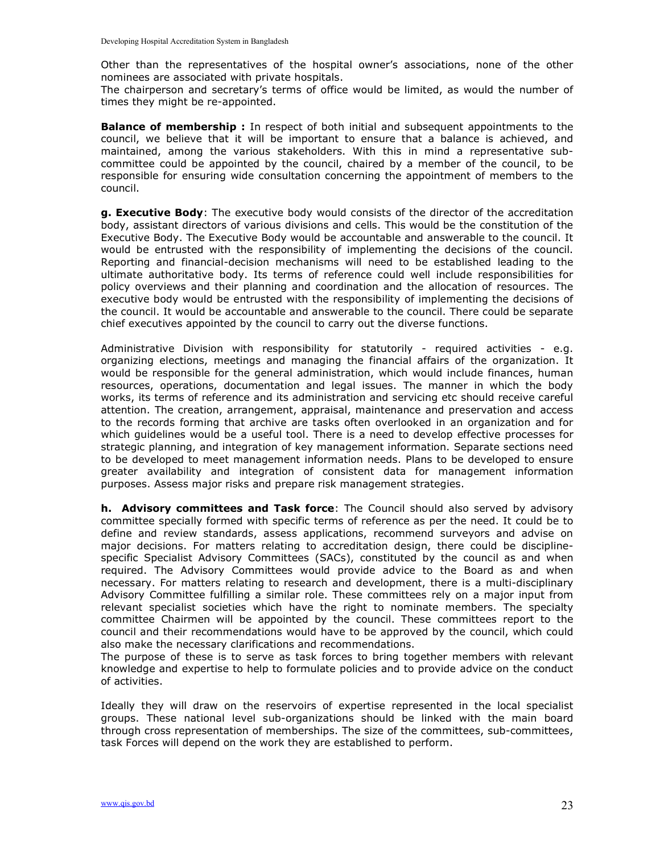Other than the representatives of the hospital owner's associations, none of the other nominees are associated with private hospitals.

The chairperson and secretary's terms of office would be limited, as would the number of times they might be re-appointed.

**Balance of membership:** In respect of both initial and subsequent appointments to the council, we believe that it will be important to ensure that a balance is achieved, and maintained, among the various stakeholders. With this in mind a representative subcommittee could be appointed by the council, chaired by a member of the council, to be responsible for ensuring wide consultation concerning the appointment of members to the council.

g. Executive Body: The executive body would consists of the director of the accreditation body, assistant directors of various divisions and cells. This would be the constitution of the Executive Body. The Executive Body would be accountable and answerable to the council. It would be entrusted with the responsibility of implementing the decisions of the council. Reporting and financial-decision mechanisms will need to be established leading to the ultimate authoritative body. Its terms of reference could well include responsibilities for policy overviews and their planning and coordination and the allocation of resources. The executive body would be entrusted with the responsibility of implementing the decisions of the council. It would be accountable and answerable to the council. There could be separate chief executives appointed by the council to carry out the diverse functions.

Administrative Division with responsibility for statutorily - required activities - e.g. organizing elections, meetings and managing the financial affairs of the organization. It would be responsible for the general administration, which would include finances, human resources, operations, documentation and legal issues. The manner in which the body works, its terms of reference and its administration and servicing etc should receive careful attention. The creation, arrangement, appraisal, maintenance and preservation and access to the records forming that archive are tasks often overlooked in an organization and for which guidelines would be a useful tool. There is a need to develop effective processes for strategic planning, and integration of key management information. Separate sections need to be developed to meet management information needs. Plans to be developed to ensure greater availability and integration of consistent data for management information purposes. Assess major risks and prepare risk management strategies.

h. Advisory committees and Task force: The Council should also served by advisory committee specially formed with specific terms of reference as per the need. It could be to define and review standards, assess applications, recommend surveyors and advise on major decisions. For matters relating to accreditation design, there could be disciplinespecific Specialist Advisory Committees (SACs), constituted by the council as and when required. The Advisory Committees would provide advice to the Board as and when necessary. For matters relating to research and development, there is a multi-disciplinary Advisory Committee fulfilling a similar role. These committees rely on a major input from relevant specialist societies which have the right to nominate members. The specialty committee Chairmen will be appointed by the council. These committees report to the council and their recommendations would have to be approved by the council, which could also make the necessary clarifications and recommendations.

The purpose of these is to serve as task forces to bring together members with relevant knowledge and expertise to help to formulate policies and to provide advice on the conduct of activities.

Ideally they will draw on the reservoirs of expertise represented in the local specialist groups. These national level sub-organizations should be linked with the main board through cross representation of memberships. The size of the committees, sub-committees, task Forces will depend on the work they are established to perform.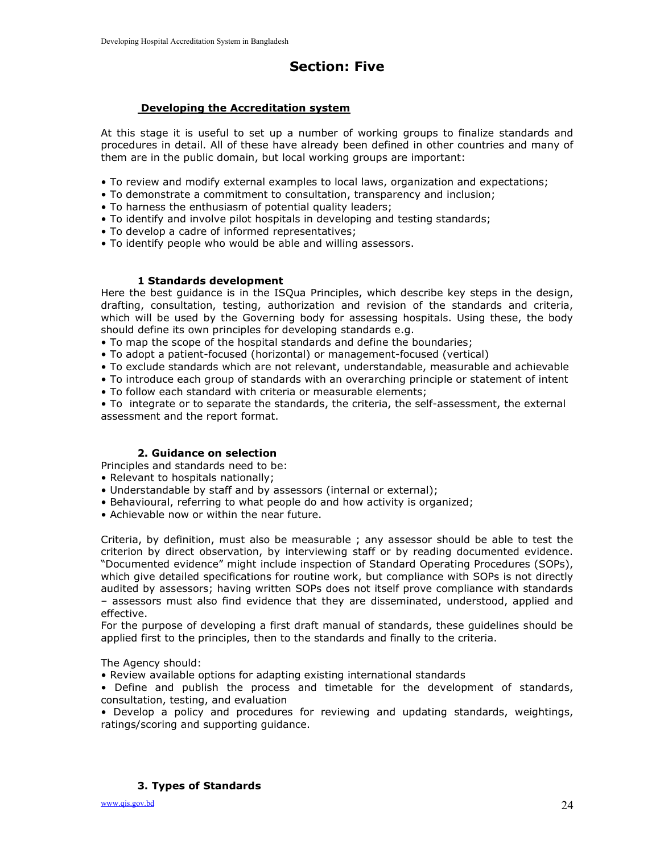# Section: Five

#### Developing the Accreditation system

At this stage it is useful to set up a number of working groups to finalize standards and procedures in detail. All of these have already been defined in other countries and many of them are in the public domain, but local working groups are important:

- To review and modify external examples to local laws, organization and expectations;
- To demonstrate a commitment to consultation, transparency and inclusion;
- To harness the enthusiasm of potential quality leaders;
- To identify and involve pilot hospitals in developing and testing standards;
- To develop a cadre of informed representatives;
- To identify people who would be able and willing assessors.

#### 1 Standards development

Here the best guidance is in the ISQua Principles, which describe key steps in the design, drafting, consultation, testing, authorization and revision of the standards and criteria, which will be used by the Governing body for assessing hospitals. Using these, the body should define its own principles for developing standards e.g.

• To map the scope of the hospital standards and define the boundaries;

- To adopt a patient-focused (horizontal) or management-focused (vertical)
- To exclude standards which are not relevant, understandable, measurable and achievable
- To introduce each group of standards with an overarching principle or statement of intent
- To follow each standard with criteria or measurable elements;

• To integrate or to separate the standards, the criteria, the self-assessment, the external assessment and the report format.

#### 2. Guidance on selection

Principles and standards need to be:

- Relevant to hospitals nationally;
- Understandable by staff and by assessors (internal or external);
- Behavioural, referring to what people do and how activity is organized;
- Achievable now or within the near future.

Criteria, by definition, must also be measurable ; any assessor should be able to test the criterion by direct observation, by interviewing staff or by reading documented evidence. "Documented evidence" might include inspection of Standard Operating Procedures (SOPs), which give detailed specifications for routine work, but compliance with SOPs is not directly audited by assessors; having written SOPs does not itself prove compliance with standards – assessors must also find evidence that they are disseminated, understood, applied and effective.

For the purpose of developing a first draft manual of standards, these guidelines should be applied first to the principles, then to the standards and finally to the criteria.

The Agency should:

• Review available options for adapting existing international standards

• Define and publish the process and timetable for the development of standards, consultation, testing, and evaluation

• Develop a policy and procedures for reviewing and updating standards, weightings, ratings/scoring and supporting guidance.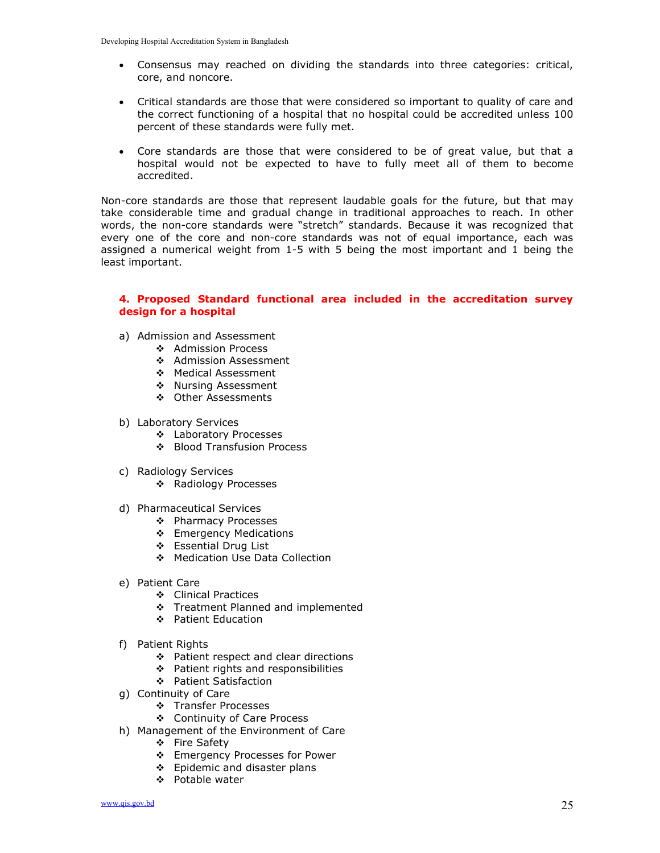- Consensus may reached on dividing the standards into three categories: critical, core, and noncore.
- Critical standards are those that were considered so important to quality of care and the correct functioning of a hospital that no hospital could be accredited unless 100 percent of these standards were fully met.
- Core standards are those that were considered to be of great value, but that a hospital would not be expected to have to fully meet all of them to become accredited.

Non-core standards are those that represent laudable goals for the future, but that may take considerable time and gradual change in traditional approaches to reach. In other words, the non-core standards were "stretch" standards. Because it was recognized that every one of the core and non-core standards was not of equal importance, each was assigned a numerical weight from 1-5 with 5 being the most important and 1 being the least important.

#### 4. Proposed Standard functional area included in the accreditation survey design for a hospital

- a) Admission and Assessment
	- ❖ Admission Process
	- ❖ Admission Assessment
	- ◆ Medical Assessment
	- \* Nursing Assessment
	- Other Assessments
- b) Laboratory Services
	- Laboratory Processes
	- ❖ Blood Transfusion Process
- c) Radiology Services
	- ❖ Radiology Processes
- d) Pharmaceutical Services
	- ❖ Pharmacy Processes
	- Emergency Medications
	- Essential Drug List
	- ◆ Medication Use Data Collection
- e) Patient Care
	- Clinical Practices
	- Treatment Planned and implemented
	- ❖ Patient Education
- f) Patient Rights
	- ❖ Patient respect and clear directions
	- ❖ Patient rights and responsibilities
	- Patient Satisfaction
- g) Continuity of Care
	- Transfer Processes
	- Continuity of Care Process
- h) Management of the Environment of Care
	- ❖ Fire Safety
	- ❖ Emergency Processes for Power
	- Epidemic and disaster plans
	- Potable water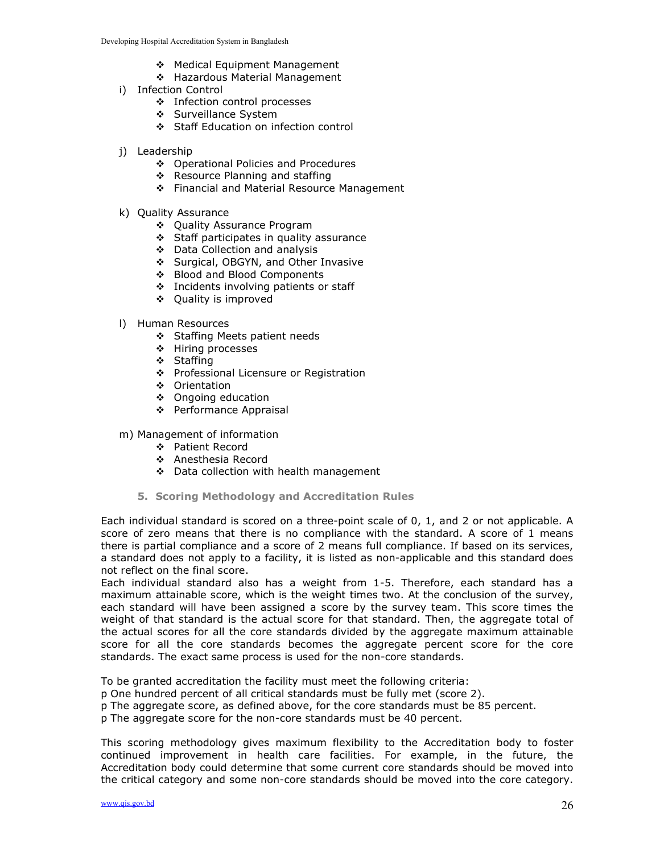- ◆ Medical Equipment Management
- \* Hazardous Material Management
- i) Infection Control
	- Infection control processes
	- Surveillance System
	- Staff Education on infection control
- j) Leadership
	- ❖ Operational Policies and Procedures
	- \* Resource Planning and staffing
	- ❖ Financial and Material Resource Management
- k) Quality Assurance
	- Quality Assurance Program
	- Staff participates in quality assurance
	- Data Collection and analysis
	- ❖ Surgical, OBGYN, and Other Invasive
	- ❖ Blood and Blood Components
	- ❖ Incidents involving patients or staff
	- ❖ Quality is improved
- l) Human Resources
	- Staffing Meets patient needs
	- ❖ Hiring processes
	- ❖ Staffing
	- ❖ Professional Licensure or Registration
	- Orientation
	- ❖ Ongoing education
	- Performance Appraisal
- m) Management of information
	- Patient Record
	- **Anesthesia Record**
	- Data collection with health management
	- 5. Scoring Methodology and Accreditation Rules

Each individual standard is scored on a three-point scale of 0, 1, and 2 or not applicable. A score of zero means that there is no compliance with the standard. A score of 1 means there is partial compliance and a score of 2 means full compliance. If based on its services, a standard does not apply to a facility, it is listed as non-applicable and this standard does not reflect on the final score.

Each individual standard also has a weight from 1-5. Therefore, each standard has a maximum attainable score, which is the weight times two. At the conclusion of the survey, each standard will have been assigned a score by the survey team. This score times the weight of that standard is the actual score for that standard. Then, the aggregate total of the actual scores for all the core standards divided by the aggregate maximum attainable score for all the core standards becomes the aggregate percent score for the core standards. The exact same process is used for the non-core standards.

To be granted accreditation the facility must meet the following criteria:

p One hundred percent of all critical standards must be fully met (score 2).

p The aggregate score, as defined above, for the core standards must be 85 percent.

p The aggregate score for the non-core standards must be 40 percent.

This scoring methodology gives maximum flexibility to the Accreditation body to foster continued improvement in health care facilities. For example, in the future, the Accreditation body could determine that some current core standards should be moved into the critical category and some non-core standards should be moved into the core category.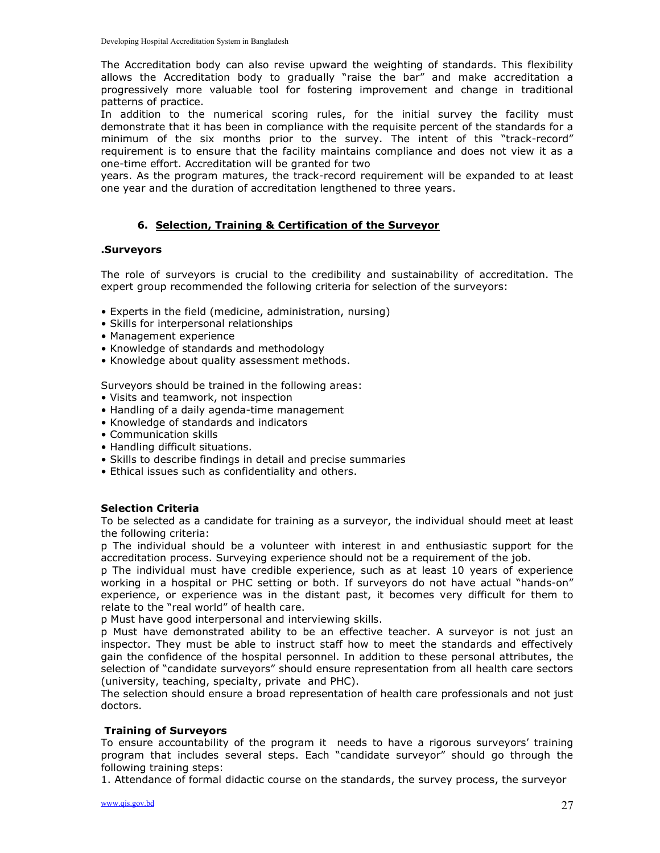The Accreditation body can also revise upward the weighting of standards. This flexibility allows the Accreditation body to gradually "raise the bar" and make accreditation a progressively more valuable tool for fostering improvement and change in traditional patterns of practice.

In addition to the numerical scoring rules, for the initial survey the facility must demonstrate that it has been in compliance with the requisite percent of the standards for a minimum of the six months prior to the survey. The intent of this "track-record" requirement is to ensure that the facility maintains compliance and does not view it as a one-time effort. Accreditation will be granted for two

years. As the program matures, the track-record requirement will be expanded to at least one year and the duration of accreditation lengthened to three years.

# 6. Selection, Training & Certification of the Surveyor

#### .Surveyors

The role of surveyors is crucial to the credibility and sustainability of accreditation. The expert group recommended the following criteria for selection of the surveyors:

- Experts in the field (medicine, administration, nursing)
- Skills for interpersonal relationships
- Management experience
- Knowledge of standards and methodology
- Knowledge about quality assessment methods.

Surveyors should be trained in the following areas:

- Visits and teamwork, not inspection
- Handling of a daily agenda-time management
- Knowledge of standards and indicators
- Communication skills
- Handling difficult situations.
- Skills to describe findings in detail and precise summaries
- Ethical issues such as confidentiality and others.

#### Selection Criteria

To be selected as a candidate for training as a surveyor, the individual should meet at least the following criteria:

p The individual should be a volunteer with interest in and enthusiastic support for the accreditation process. Surveying experience should not be a requirement of the job.

p The individual must have credible experience, such as at least 10 years of experience working in a hospital or PHC setting or both. If surveyors do not have actual "hands-on" experience, or experience was in the distant past, it becomes very difficult for them to relate to the "real world" of health care.

p Must have good interpersonal and interviewing skills.

p Must have demonstrated ability to be an effective teacher. A surveyor is not just an inspector. They must be able to instruct staff how to meet the standards and effectively gain the confidence of the hospital personnel. In addition to these personal attributes, the selection of "candidate surveyors" should ensure representation from all health care sectors (university, teaching, specialty, private and PHC).

The selection should ensure a broad representation of health care professionals and not just doctors.

#### Training of Surveyors

To ensure accountability of the program it needs to have a rigorous surveyors' training program that includes several steps. Each "candidate surveyor" should go through the following training steps:

1. Attendance of formal didactic course on the standards, the survey process, the surveyor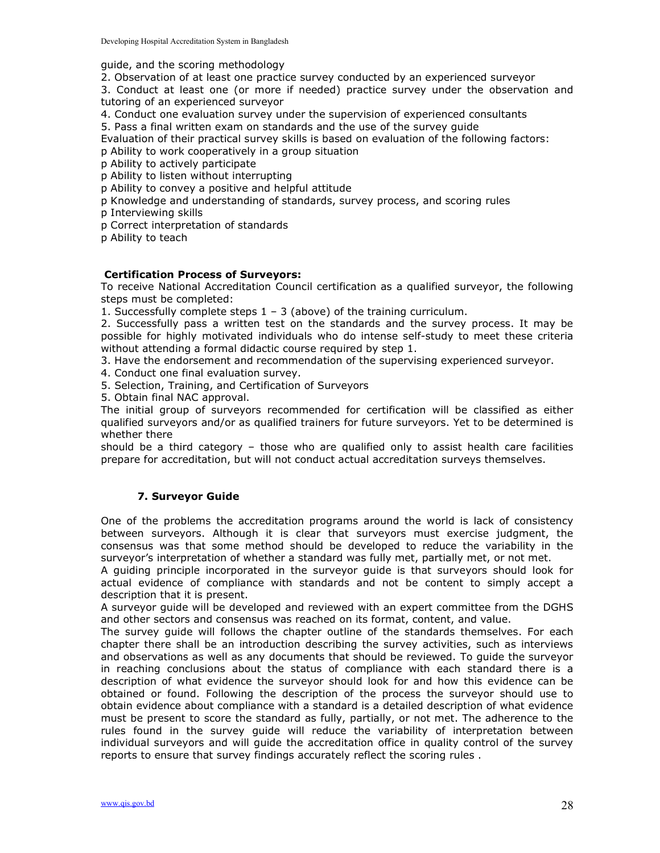guide, and the scoring methodology

2. Observation of at least one practice survey conducted by an experienced surveyor

3. Conduct at least one (or more if needed) practice survey under the observation and tutoring of an experienced surveyor

4. Conduct one evaluation survey under the supervision of experienced consultants

5. Pass a final written exam on standards and the use of the survey guide

Evaluation of their practical survey skills is based on evaluation of the following factors:

p Ability to work cooperatively in a group situation

p Ability to actively participate

p Ability to listen without interrupting

p Ability to convey a positive and helpful attitude

p Knowledge and understanding of standards, survey process, and scoring rules

p Interviewing skills

p Correct interpretation of standards

p Ability to teach

#### Certification Process of Surveyors:

To receive National Accreditation Council certification as a qualified surveyor, the following steps must be completed:

1. Successfully complete steps 1 – 3 (above) of the training curriculum.

2. Successfully pass a written test on the standards and the survey process. It may be possible for highly motivated individuals who do intense self-study to meet these criteria without attending a formal didactic course required by step 1.

3. Have the endorsement and recommendation of the supervising experienced surveyor.

4. Conduct one final evaluation survey.

5. Selection, Training, and Certification of Surveyors

5. Obtain final NAC approval.

The initial group of surveyors recommended for certification will be classified as either qualified surveyors and/or as qualified trainers for future surveyors. Yet to be determined is whether there

should be a third category – those who are qualified only to assist health care facilities prepare for accreditation, but will not conduct actual accreditation surveys themselves.

### 7. Surveyor Guide

One of the problems the accreditation programs around the world is lack of consistency between surveyors. Although it is clear that surveyors must exercise judgment, the consensus was that some method should be developed to reduce the variability in the surveyor's interpretation of whether a standard was fully met, partially met, or not met.

A guiding principle incorporated in the surveyor guide is that surveyors should look for actual evidence of compliance with standards and not be content to simply accept a description that it is present.

A surveyor guide will be developed and reviewed with an expert committee from the DGHS and other sectors and consensus was reached on its format, content, and value.

The survey guide will follows the chapter outline of the standards themselves. For each chapter there shall be an introduction describing the survey activities, such as interviews and observations as well as any documents that should be reviewed. To guide the surveyor in reaching conclusions about the status of compliance with each standard there is a description of what evidence the surveyor should look for and how this evidence can be obtained or found. Following the description of the process the surveyor should use to obtain evidence about compliance with a standard is a detailed description of what evidence must be present to score the standard as fully, partially, or not met. The adherence to the rules found in the survey guide will reduce the variability of interpretation between individual surveyors and will guide the accreditation office in quality control of the survey reports to ensure that survey findings accurately reflect the scoring rules .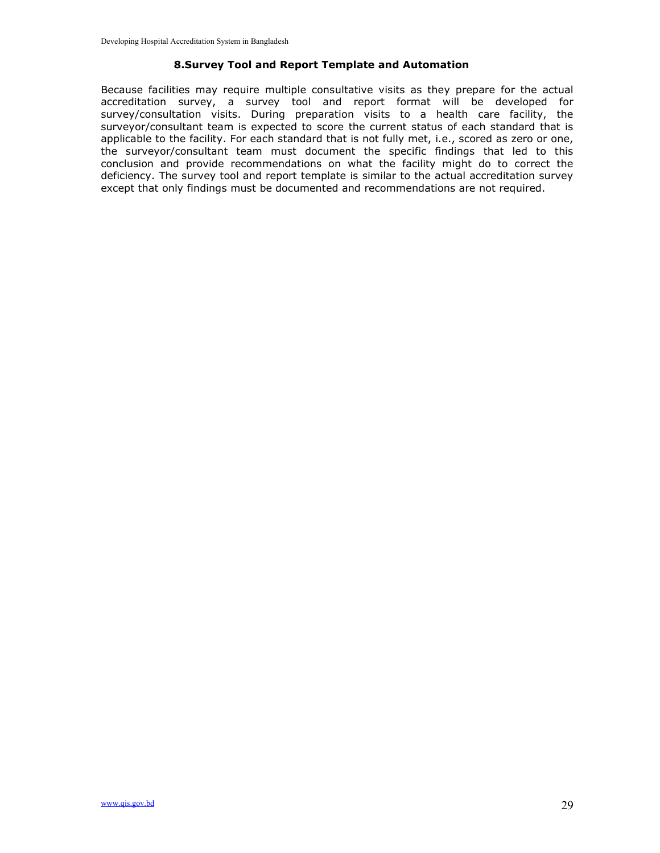#### 8.Survey Tool and Report Template and Automation

Because facilities may require multiple consultative visits as they prepare for the actual accreditation survey, a survey tool and report format will be developed for survey/consultation visits. During preparation visits to a health care facility, the surveyor/consultant team is expected to score the current status of each standard that is applicable to the facility. For each standard that is not fully met, i.e., scored as zero or one, the surveyor/consultant team must document the specific findings that led to this conclusion and provide recommendations on what the facility might do to correct the deficiency. The survey tool and report template is similar to the actual accreditation survey except that only findings must be documented and recommendations are not required.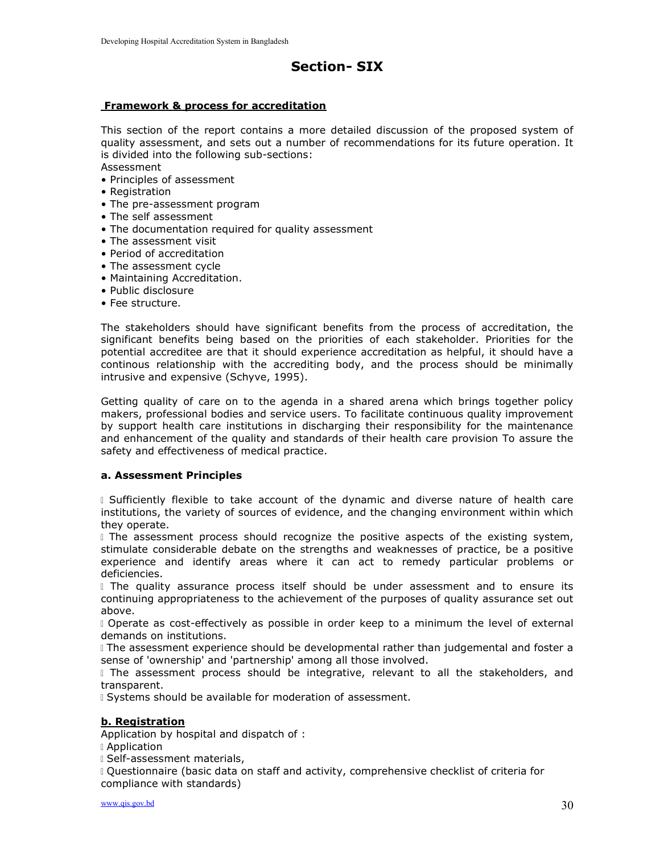# Section- SIX

#### Framework & process for accreditation

This section of the report contains a more detailed discussion of the proposed system of quality assessment, and sets out a number of recommendations for its future operation. It is divided into the following sub-sections:

Assessment

- Principles of assessment
- Registration
- The pre-assessment program
- The self assessment
- The documentation required for quality assessment
- The assessment visit
- Period of accreditation
- The assessment cycle
- Maintaining Accreditation.
- Public disclosure
- Fee structure.

The stakeholders should have significant benefits from the process of accreditation, the significant benefits being based on the priorities of each stakeholder. Priorities for the potential accreditee are that it should experience accreditation as helpful, it should have a continous relationship with the accrediting body, and the process should be minimally intrusive and expensive (Schyve, 1995).

Getting quality of care on to the agenda in a shared arena which brings together policy makers, professional bodies and service users. To facilitate continuous quality improvement by support health care institutions in discharging their responsibility for the maintenance and enhancement of the quality and standards of their health care provision To assure the safety and effectiveness of medical practice.

#### a. Assessment Principles

 Sufficiently flexible to take account of the dynamic and diverse nature of health care institutions, the variety of sources of evidence, and the changing environment within which they operate.

I The assessment process should recognize the positive aspects of the existing system, stimulate considerable debate on the strengths and weaknesses of practice, be a positive experience and identify areas where it can act to remedy particular problems or deficiencies.

I The quality assurance process itself should be under assessment and to ensure its continuing appropriateness to the achievement of the purposes of quality assurance set out above.

 Operate as cost-effectively as possible in order keep to a minimum the level of external demands on institutions.

 The assessment experience should be developmental rather than judgemental and foster a sense of 'ownership' and 'partnership' among all those involved.

I The assessment process should be integrative, relevant to all the stakeholders, and transparent.

Systems should be available for moderation of assessment.

#### b. Registration

Application by hospital and dispatch of :

Application

Self-assessment materials,

 Questionnaire (basic data on staff and activity, comprehensive checklist of criteria for compliance with standards)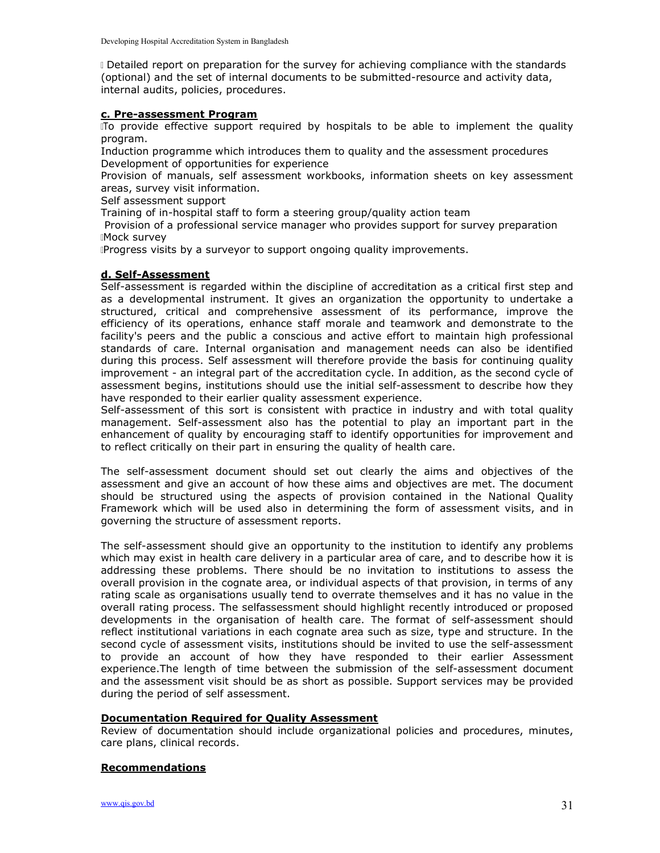Detailed report on preparation for the survey for achieving compliance with the standards (optional) and the set of internal documents to be submitted-resource and activity data, internal audits, policies, procedures.

#### c. Pre-assessment Program

ITo provide effective support required by hospitals to be able to implement the quality program.

Induction programme which introduces them to quality and the assessment procedures Development of opportunities for experience

Provision of manuals, self assessment workbooks, information sheets on key assessment areas, survey visit information.

Self assessment support

Training of in-hospital staff to form a steering group/quality action team

 Provision of a professional service manager who provides support for survey preparation Mock survey

Progress visits by a surveyor to support ongoing quality improvements.

#### d. Self-Assessment

Self-assessment is regarded within the discipline of accreditation as a critical first step and as a developmental instrument. It gives an organization the opportunity to undertake a structured, critical and comprehensive assessment of its performance, improve the efficiency of its operations, enhance staff morale and teamwork and demonstrate to the facility's peers and the public a conscious and active effort to maintain high professional standards of care. Internal organisation and management needs can also be identified during this process. Self assessment will therefore provide the basis for continuing quality improvement - an integral part of the accreditation cycle. In addition, as the second cycle of assessment begins, institutions should use the initial self-assessment to describe how they have responded to their earlier quality assessment experience.

Self-assessment of this sort is consistent with practice in industry and with total quality management. Self-assessment also has the potential to play an important part in the enhancement of quality by encouraging staff to identify opportunities for improvement and to reflect critically on their part in ensuring the quality of health care.

The self-assessment document should set out clearly the aims and objectives of the assessment and give an account of how these aims and objectives are met. The document should be structured using the aspects of provision contained in the National Quality Framework which will be used also in determining the form of assessment visits, and in governing the structure of assessment reports.

The self-assessment should give an opportunity to the institution to identify any problems which may exist in health care delivery in a particular area of care, and to describe how it is addressing these problems. There should be no invitation to institutions to assess the overall provision in the cognate area, or individual aspects of that provision, in terms of any rating scale as organisations usually tend to overrate themselves and it has no value in the overall rating process. The selfassessment should highlight recently introduced or proposed developments in the organisation of health care. The format of self-assessment should reflect institutional variations in each cognate area such as size, type and structure. In the second cycle of assessment visits, institutions should be invited to use the self-assessment to provide an account of how they have responded to their earlier Assessment experience.The length of time between the submission of the self-assessment document and the assessment visit should be as short as possible. Support services may be provided during the period of self assessment.

#### Documentation Required for Quality Assessment

Review of documentation should include organizational policies and procedures, minutes, care plans, clinical records.

#### Recommendations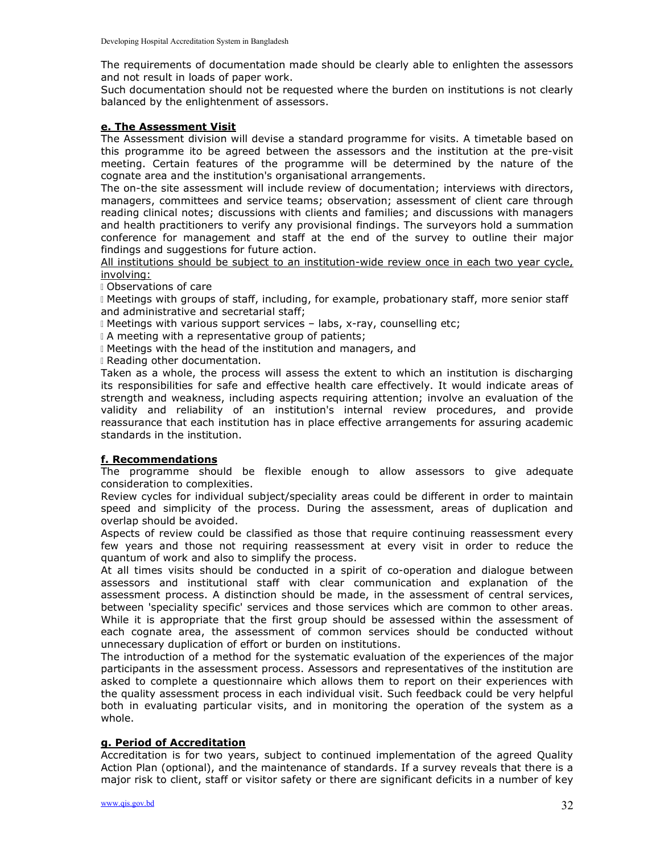The requirements of documentation made should be clearly able to enlighten the assessors and not result in loads of paper work.

Such documentation should not be requested where the burden on institutions is not clearly balanced by the enlightenment of assessors.

#### e. The Assessment Visit

The Assessment division will devise a standard programme for visits. A timetable based on this programme ito be agreed between the assessors and the institution at the pre-visit meeting. Certain features of the programme will be determined by the nature of the cognate area and the institution's organisational arrangements.

The on-the site assessment will include review of documentation; interviews with directors, managers, committees and service teams; observation; assessment of client care through reading clinical notes; discussions with clients and families; and discussions with managers and health practitioners to verify any provisional findings. The surveyors hold a summation conference for management and staff at the end of the survey to outline their major findings and suggestions for future action.

All institutions should be subject to an institution-wide review once in each two year cycle, involving:

Observations of care

 Meetings with groups of staff, including, for example, probationary staff, more senior staff and administrative and secretarial staff;

Meetings with various support services – labs, x-ray, counselling etc;

I A meeting with a representative group of patients;

Meetings with the head of the institution and managers, and

Reading other documentation.

Taken as a whole, the process will assess the extent to which an institution is discharging its responsibilities for safe and effective health care effectively. It would indicate areas of strength and weakness, including aspects requiring attention; involve an evaluation of the validity and reliability of an institution's internal review procedures, and provide reassurance that each institution has in place effective arrangements for assuring academic standards in the institution.

### f. Recommendations

The programme should be flexible enough to allow assessors to give adequate consideration to complexities.

Review cycles for individual subject/speciality areas could be different in order to maintain speed and simplicity of the process. During the assessment, areas of duplication and overlap should be avoided.

Aspects of review could be classified as those that require continuing reassessment every few years and those not requiring reassessment at every visit in order to reduce the quantum of work and also to simplify the process.

At all times visits should be conducted in a spirit of co-operation and dialogue between assessors and institutional staff with clear communication and explanation of the assessment process. A distinction should be made, in the assessment of central services, between 'speciality specific' services and those services which are common to other areas. While it is appropriate that the first group should be assessed within the assessment of each cognate area, the assessment of common services should be conducted without unnecessary duplication of effort or burden on institutions.

The introduction of a method for the systematic evaluation of the experiences of the major participants in the assessment process. Assessors and representatives of the institution are asked to complete a questionnaire which allows them to report on their experiences with the quality assessment process in each individual visit. Such feedback could be very helpful both in evaluating particular visits, and in monitoring the operation of the system as a whole.

### g. Period of Accreditation

Accreditation is for two years, subject to continued implementation of the agreed Quality Action Plan (optional), and the maintenance of standards. If a survey reveals that there is a major risk to client, staff or visitor safety or there are significant deficits in a number of key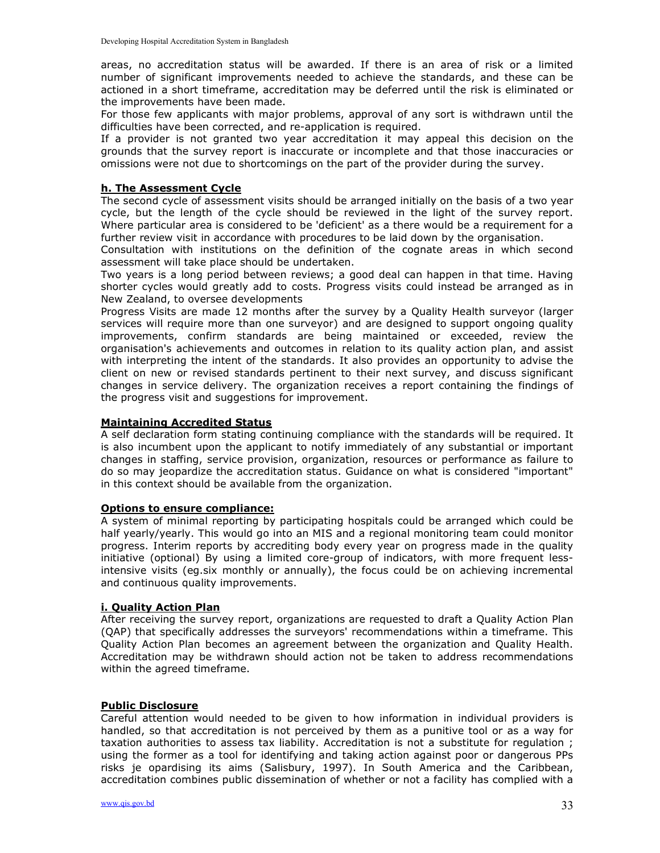areas, no accreditation status will be awarded. If there is an area of risk or a limited number of significant improvements needed to achieve the standards, and these can be actioned in a short timeframe, accreditation may be deferred until the risk is eliminated or the improvements have been made.

For those few applicants with major problems, approval of any sort is withdrawn until the difficulties have been corrected, and re-application is required.

If a provider is not granted two year accreditation it may appeal this decision on the grounds that the survey report is inaccurate or incomplete and that those inaccuracies or omissions were not due to shortcomings on the part of the provider during the survey.

#### h. The Assessment Cycle

The second cycle of assessment visits should be arranged initially on the basis of a two year cycle, but the length of the cycle should be reviewed in the light of the survey report. Where particular area is considered to be 'deficient' as a there would be a requirement for a further review visit in accordance with procedures to be laid down by the organisation.

Consultation with institutions on the definition of the cognate areas in which second assessment will take place should be undertaken.

Two years is a long period between reviews; a good deal can happen in that time. Having shorter cycles would greatly add to costs. Progress visits could instead be arranged as in New Zealand, to oversee developments

Progress Visits are made 12 months after the survey by a Quality Health surveyor (larger services will require more than one surveyor) and are designed to support ongoing quality improvements, confirm standards are being maintained or exceeded, review the organisation's achievements and outcomes in relation to its quality action plan, and assist with interpreting the intent of the standards. It also provides an opportunity to advise the client on new or revised standards pertinent to their next survey, and discuss significant changes in service delivery. The organization receives a report containing the findings of the progress visit and suggestions for improvement.

#### Maintaining Accredited Status

A self declaration form stating continuing compliance with the standards will be required. It is also incumbent upon the applicant to notify immediately of any substantial or important changes in staffing, service provision, organization, resources or performance as failure to do so may jeopardize the accreditation status. Guidance on what is considered "important" in this context should be available from the organization.

#### Options to ensure compliance:

A system of minimal reporting by participating hospitals could be arranged which could be half yearly/yearly. This would go into an MIS and a regional monitoring team could monitor progress. Interim reports by accrediting body every year on progress made in the quality initiative (optional) By using a limited core-group of indicators, with more frequent lessintensive visits (eg.six monthly or annually), the focus could be on achieving incremental and continuous quality improvements.

#### i. Quality Action Plan

After receiving the survey report, organizations are requested to draft a Quality Action Plan (QAP) that specifically addresses the surveyors' recommendations within a timeframe. This Quality Action Plan becomes an agreement between the organization and Quality Health. Accreditation may be withdrawn should action not be taken to address recommendations within the agreed timeframe.

#### Public Disclosure

Careful attention would needed to be given to how information in individual providers is handled, so that accreditation is not perceived by them as a punitive tool or as a way for taxation authorities to assess tax liability. Accreditation is not a substitute for regulation ; using the former as a tool for identifying and taking action against poor or dangerous PPs risks je opardising its aims (Salisbury, 1997). In South America and the Caribbean, accreditation combines public dissemination of whether or not a facility has complied with a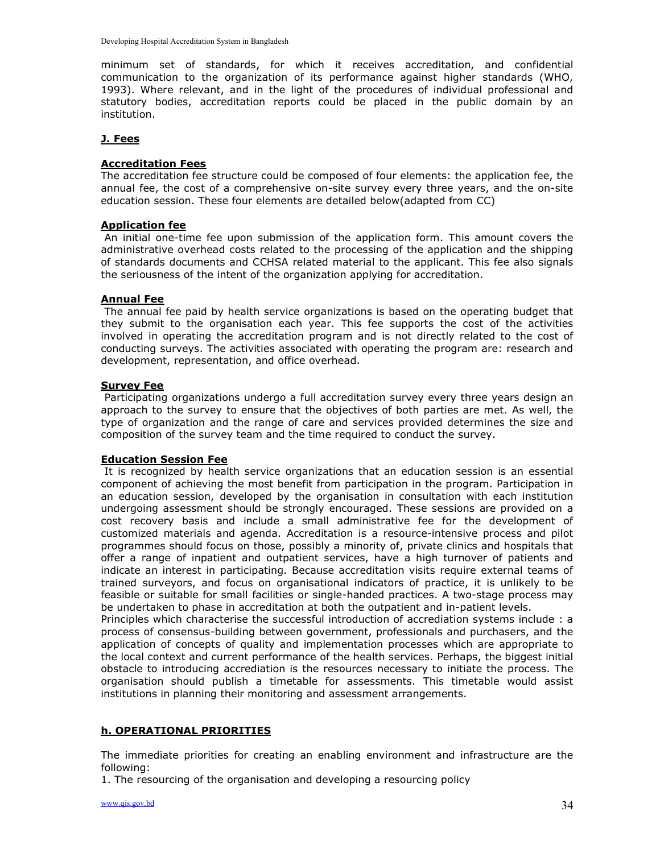minimum set of standards, for which it receives accreditation, and confidential communication to the organization of its performance against higher standards (WHO, 1993). Where relevant, and in the light of the procedures of individual professional and statutory bodies, accreditation reports could be placed in the public domain by an institution.

#### J. Fees

#### Accreditation Fees

The accreditation fee structure could be composed of four elements: the application fee, the annual fee, the cost of a comprehensive on-site survey every three years, and the on-site education session. These four elements are detailed below(adapted from CC)

#### Application fee

 An initial one-time fee upon submission of the application form. This amount covers the administrative overhead costs related to the processing of the application and the shipping of standards documents and CCHSA related material to the applicant. This fee also signals the seriousness of the intent of the organization applying for accreditation.

#### Annual Fee

 The annual fee paid by health service organizations is based on the operating budget that they submit to the organisation each year. This fee supports the cost of the activities involved in operating the accreditation program and is not directly related to the cost of conducting surveys. The activities associated with operating the program are: research and development, representation, and office overhead.

#### Survey Fee

 Participating organizations undergo a full accreditation survey every three years design an approach to the survey to ensure that the objectives of both parties are met. As well, the type of organization and the range of care and services provided determines the size and composition of the survey team and the time required to conduct the survey.

#### Education Session Fee

 It is recognized by health service organizations that an education session is an essential component of achieving the most benefit from participation in the program. Participation in an education session, developed by the organisation in consultation with each institution undergoing assessment should be strongly encouraged. These sessions are provided on a cost recovery basis and include a small administrative fee for the development of customized materials and agenda. Accreditation is a resource-intensive process and pilot programmes should focus on those, possibly a minority of, private clinics and hospitals that offer a range of inpatient and outpatient services, have a high turnover of patients and indicate an interest in participating. Because accreditation visits require external teams of trained surveyors, and focus on organisational indicators of practice, it is unlikely to be feasible or suitable for small facilities or single-handed practices. A two-stage process may be undertaken to phase in accreditation at both the outpatient and in-patient levels.

Principles which characterise the successful introduction of accrediation systems include : a process of consensus-building between government, professionals and purchasers, and the application of concepts of quality and implementation processes which are appropriate to the local context and current performance of the health services. Perhaps, the biggest initial obstacle to introducing accrediation is the resources necessary to initiate the process. The organisation should publish a timetable for assessments. This timetable would assist institutions in planning their monitoring and assessment arrangements.

### h. OPERATIONAL PRIORITIES

The immediate priorities for creating an enabling environment and infrastructure are the following:

1. The resourcing of the organisation and developing a resourcing policy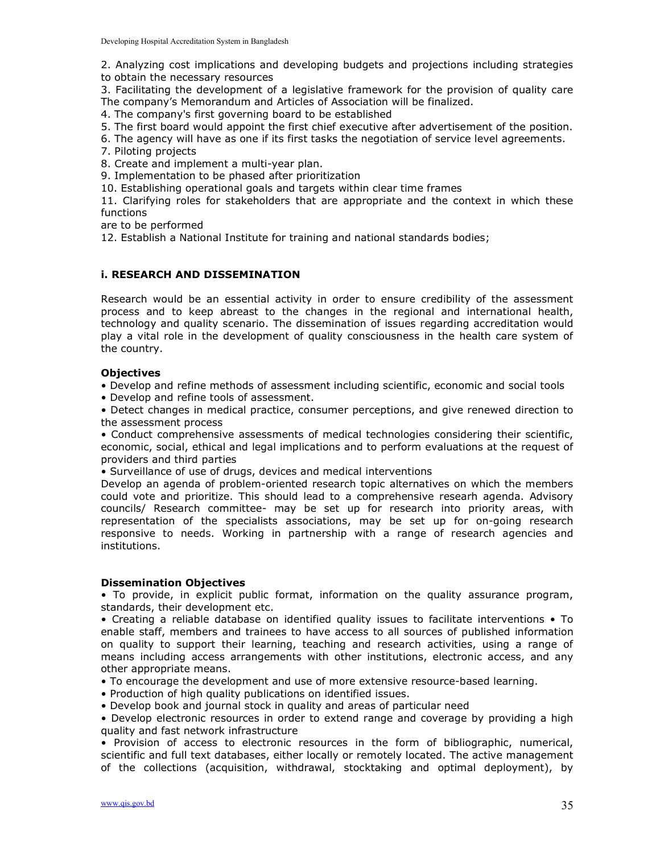2. Analyzing cost implications and developing budgets and projections including strategies to obtain the necessary resources

3. Facilitating the development of a legislative framework for the provision of quality care The company's Memorandum and Articles of Association will be finalized.

- 4. The company's first governing board to be established
- 5. The first board would appoint the first chief executive after advertisement of the position.
- 6. The agency will have as one if its first tasks the negotiation of service level agreements.
- 7. Piloting projects

8. Create and implement a multi-year plan.

9. Implementation to be phased after prioritization

10. Establishing operational goals and targets within clear time frames

11. Clarifying roles for stakeholders that are appropriate and the context in which these functions

are to be performed

12. Establish a National Institute for training and national standards bodies;

#### i. RESEARCH AND DISSEMINATION

Research would be an essential activity in order to ensure credibility of the assessment process and to keep abreast to the changes in the regional and international health, technology and quality scenario. The dissemination of issues regarding accreditation would play a vital role in the development of quality consciousness in the health care system of the country.

#### **Objectives**

• Develop and refine methods of assessment including scientific, economic and social tools

• Develop and refine tools of assessment.

• Detect changes in medical practice, consumer perceptions, and give renewed direction to the assessment process

• Conduct comprehensive assessments of medical technologies considering their scientific, economic, social, ethical and legal implications and to perform evaluations at the request of providers and third parties

• Surveillance of use of drugs, devices and medical interventions

Develop an agenda of problem-oriented research topic alternatives on which the members could vote and prioritize. This should lead to a comprehensive researh agenda. Advisory councils/ Research committee- may be set up for research into priority areas, with representation of the specialists associations, may be set up for on-going research responsive to needs. Working in partnership with a range of research agencies and institutions.

#### Dissemination Objectives

• To provide, in explicit public format, information on the quality assurance program, standards, their development etc.

• Creating a reliable database on identified quality issues to facilitate interventions • To enable staff, members and trainees to have access to all sources of published information on quality to support their learning, teaching and research activities, using a range of means including access arrangements with other institutions, electronic access, and any other appropriate means.

• To encourage the development and use of more extensive resource-based learning.

- Production of high quality publications on identified issues.
- Develop book and journal stock in quality and areas of particular need

• Develop electronic resources in order to extend range and coverage by providing a high quality and fast network infrastructure

• Provision of access to electronic resources in the form of bibliographic, numerical, scientific and full text databases, either locally or remotely located. The active management of the collections (acquisition, withdrawal, stocktaking and optimal deployment), by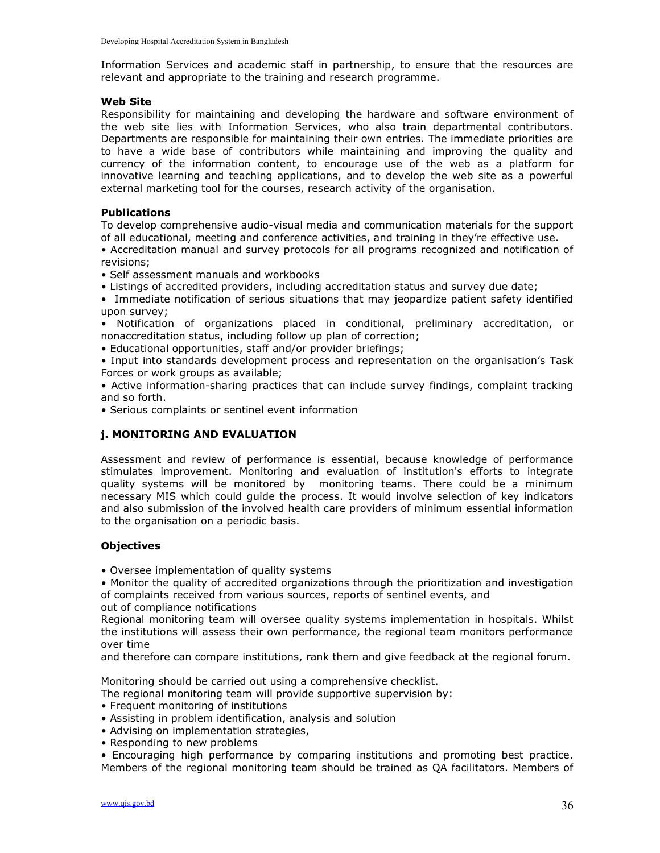Information Services and academic staff in partnership, to ensure that the resources are relevant and appropriate to the training and research programme.

#### Web Site

Responsibility for maintaining and developing the hardware and software environment of the web site lies with Information Services, who also train departmental contributors. Departments are responsible for maintaining their own entries. The immediate priorities are to have a wide base of contributors while maintaining and improving the quality and currency of the information content, to encourage use of the web as a platform for innovative learning and teaching applications, and to develop the web site as a powerful external marketing tool for the courses, research activity of the organisation.

#### Publications

To develop comprehensive audio-visual media and communication materials for the support of all educational, meeting and conference activities, and training in they're effective use.

• Accreditation manual and survey protocols for all programs recognized and notification of revisions;

- Self assessment manuals and workbooks
- Listings of accredited providers, including accreditation status and survey due date;
- Immediate notification of serious situations that may jeopardize patient safety identified upon survey;
- Notification of organizations placed in conditional, preliminary accreditation, or nonaccreditation status, including follow up plan of correction;
- Educational opportunities, staff and/or provider briefings;
- Input into standards development process and representation on the organisation's Task Forces or work groups as available;

• Active information-sharing practices that can include survey findings, complaint tracking and so forth.

• Serious complaints or sentinel event information

#### j. MONITORING AND EVALUATION

Assessment and review of performance is essential, because knowledge of performance stimulates improvement. Monitoring and evaluation of institution's efforts to integrate quality systems will be monitored by monitoring teams. There could be a minimum necessary MIS which could guide the process. It would involve selection of key indicators and also submission of the involved health care providers of minimum essential information to the organisation on a periodic basis.

#### **Objectives**

• Oversee implementation of quality systems

• Monitor the quality of accredited organizations through the prioritization and investigation of complaints received from various sources, reports of sentinel events, and

out of compliance notifications

Regional monitoring team will oversee quality systems implementation in hospitals. Whilst the institutions will assess their own performance, the regional team monitors performance over time

and therefore can compare institutions, rank them and give feedback at the regional forum.

Monitoring should be carried out using a comprehensive checklist.

The regional monitoring team will provide supportive supervision by:

- Frequent monitoring of institutions
- Assisting in problem identification, analysis and solution
- Advising on implementation strategies,
- Responding to new problems

• Encouraging high performance by comparing institutions and promoting best practice. Members of the regional monitoring team should be trained as QA facilitators. Members of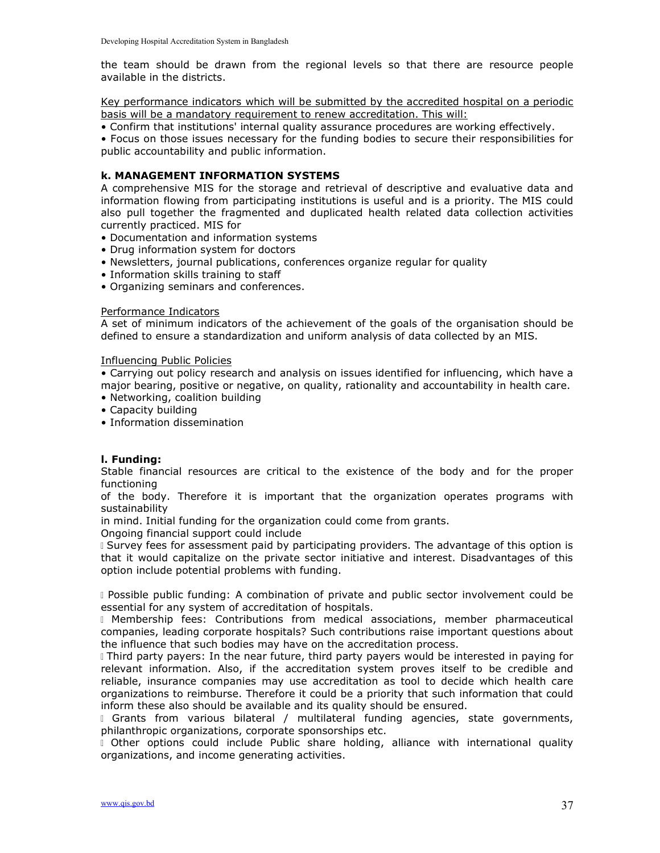the team should be drawn from the regional levels so that there are resource people available in the districts.

Key performance indicators which will be submitted by the accredited hospital on a periodic basis will be a mandatory requirement to renew accreditation. This will:

• Confirm that institutions' internal quality assurance procedures are working effectively.

• Focus on those issues necessary for the funding bodies to secure their responsibilities for public accountability and public information.

#### k. MANAGEMENT INFORMATION SYSTEMS

A comprehensive MIS for the storage and retrieval of descriptive and evaluative data and information flowing from participating institutions is useful and is a priority. The MIS could also pull together the fragmented and duplicated health related data collection activities currently practiced. MIS for

- Documentation and information systems
- Drug information system for doctors
- Newsletters, journal publications, conferences organize regular for quality
- Information skills training to staff
- Organizing seminars and conferences.

#### Performance Indicators

A set of minimum indicators of the achievement of the goals of the organisation should be defined to ensure a standardization and uniform analysis of data collected by an MIS.

#### Influencing Public Policies

• Carrying out policy research and analysis on issues identified for influencing, which have a major bearing, positive or negative, on quality, rationality and accountability in health care.

- Networking, coalition building
- Capacity building
- Information dissemination

#### l. Funding:

Stable financial resources are critical to the existence of the body and for the proper functioning

of the body. Therefore it is important that the organization operates programs with sustainability

in mind. Initial funding for the organization could come from grants.

Ongoing financial support could include

 Survey fees for assessment paid by participating providers. The advantage of this option is that it would capitalize on the private sector initiative and interest. Disadvantages of this option include potential problems with funding.

 Possible public funding: A combination of private and public sector involvement could be essential for any system of accreditation of hospitals.

 Membership fees: Contributions from medical associations, member pharmaceutical companies, leading corporate hospitals? Such contributions raise important questions about the influence that such bodies may have on the accreditation process.

 Third party payers: In the near future, third party payers would be interested in paying for relevant information. Also, if the accreditation system proves itself to be credible and reliable, insurance companies may use accreditation as tool to decide which health care organizations to reimburse. Therefore it could be a priority that such information that could inform these also should be available and its quality should be ensured.

Grants from various bilateral / multilateral funding agencies, state governments, philanthropic organizations, corporate sponsorships etc.

I Other options could include Public share holding, alliance with international quality organizations, and income generating activities.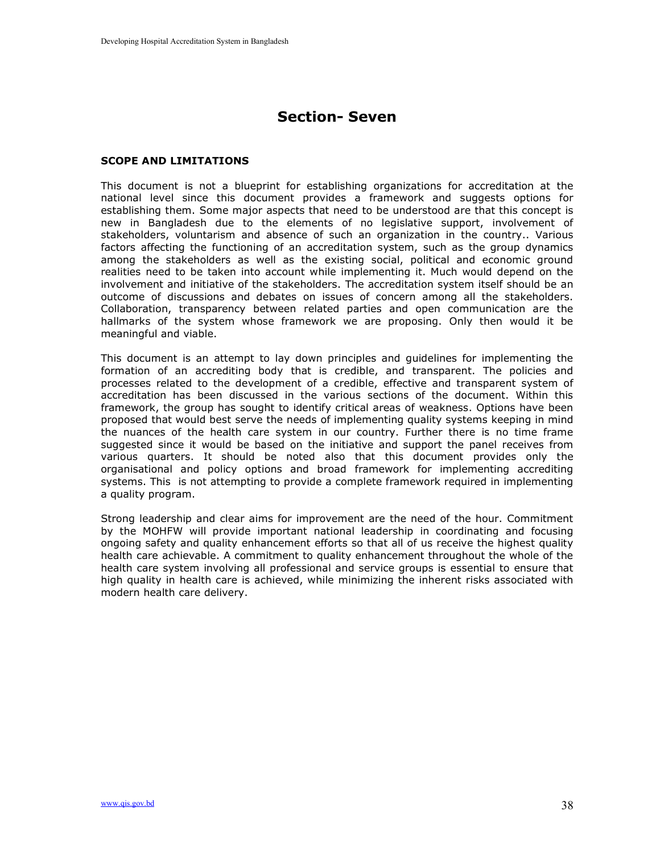# Section- Seven

#### SCOPE AND LIMITATIONS

This document is not a blueprint for establishing organizations for accreditation at the national level since this document provides a framework and suggests options for establishing them. Some major aspects that need to be understood are that this concept is new in Bangladesh due to the elements of no legislative support, involvement of stakeholders, voluntarism and absence of such an organization in the country.. Various factors affecting the functioning of an accreditation system, such as the group dynamics among the stakeholders as well as the existing social, political and economic ground realities need to be taken into account while implementing it. Much would depend on the involvement and initiative of the stakeholders. The accreditation system itself should be an outcome of discussions and debates on issues of concern among all the stakeholders. Collaboration, transparency between related parties and open communication are the hallmarks of the system whose framework we are proposing. Only then would it be meaningful and viable.

This document is an attempt to lay down principles and guidelines for implementing the formation of an accrediting body that is credible, and transparent. The policies and processes related to the development of a credible, effective and transparent system of accreditation has been discussed in the various sections of the document. Within this framework, the group has sought to identify critical areas of weakness. Options have been proposed that would best serve the needs of implementing quality systems keeping in mind the nuances of the health care system in our country. Further there is no time frame suggested since it would be based on the initiative and support the panel receives from various quarters. It should be noted also that this document provides only the organisational and policy options and broad framework for implementing accrediting systems. This is not attempting to provide a complete framework required in implementing a quality program.

Strong leadership and clear aims for improvement are the need of the hour. Commitment by the MOHFW will provide important national leadership in coordinating and focusing ongoing safety and quality enhancement efforts so that all of us receive the highest quality health care achievable. A commitment to quality enhancement throughout the whole of the health care system involving all professional and service groups is essential to ensure that high quality in health care is achieved, while minimizing the inherent risks associated with modern health care delivery.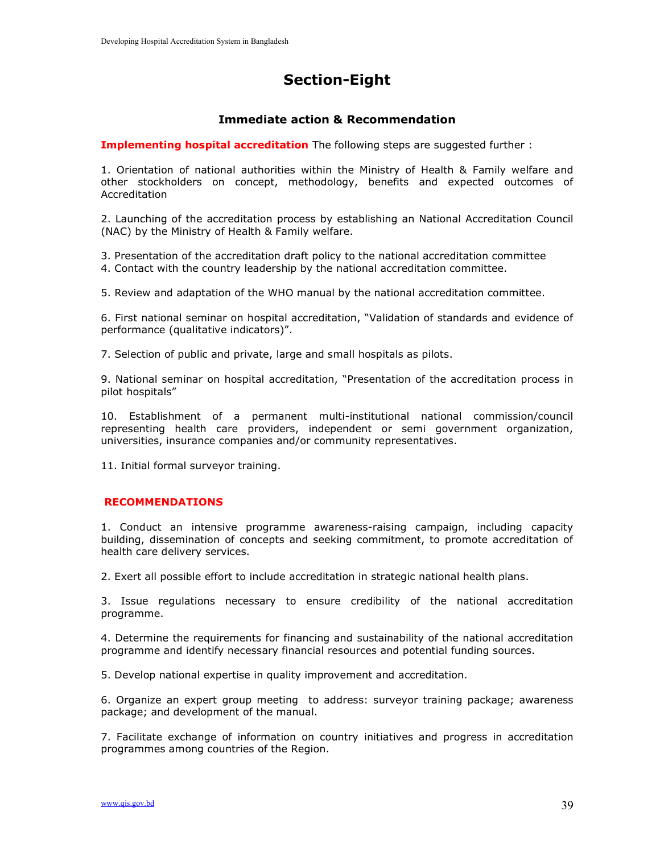# Section-Eight

### Immediate action & Recommendation

**Implementing hospital accreditation** The following steps are suggested further :

1. Orientation of national authorities within the Ministry of Health & Family welfare and other stockholders on concept, methodology, benefits and expected outcomes of Accreditation

2. Launching of the accreditation process by establishing an National Accreditation Council (NAC) by the Ministry of Health & Family welfare.

3. Presentation of the accreditation draft policy to the national accreditation committee 4. Contact with the country leadership by the national accreditation committee.

5. Review and adaptation of the WHO manual by the national accreditation committee.

6. First national seminar on hospital accreditation, "Validation of standards and evidence of performance (qualitative indicators)".

7. Selection of public and private, large and small hospitals as pilots.

9. National seminar on hospital accreditation, "Presentation of the accreditation process in pilot hospitals"

10. Establishment of a permanent multi-institutional national commission/council representing health care providers, independent or semi government organization, universities, insurance companies and/or community representatives.

11. Initial formal surveyor training.

#### RECOMMENDATIONS

1. Conduct an intensive programme awareness-raising campaign, including capacity building, dissemination of concepts and seeking commitment, to promote accreditation of health care delivery services.

2. Exert all possible effort to include accreditation in strategic national health plans.

3. Issue regulations necessary to ensure credibility of the national accreditation programme.

4. Determine the requirements for financing and sustainability of the national accreditation programme and identify necessary financial resources and potential funding sources.

5. Develop national expertise in quality improvement and accreditation.

6. Organize an expert group meeting to address: surveyor training package; awareness package; and development of the manual.

7. Facilitate exchange of information on country initiatives and progress in accreditation programmes among countries of the Region.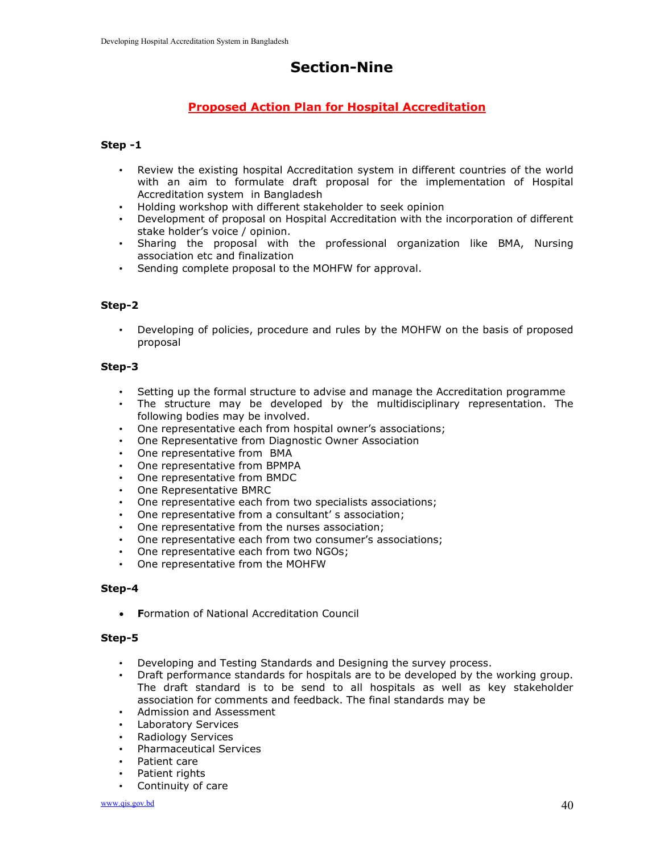# Section-Nine

# Proposed Action Plan for Hospital Accreditation

### Step -1

- Review the existing hospital Accreditation system in different countries of the world with an aim to formulate draft proposal for the implementation of Hospital Accreditation system in Bangladesh
- Holding workshop with different stakeholder to seek opinion
- Development of proposal on Hospital Accreditation with the incorporation of different stake holder's voice / opinion.
- Sharing the proposal with the professional organization like BMA, Nursing association etc and finalization
- Sending complete proposal to the MOHFW for approval.

#### Step-2

• Developing of policies, procedure and rules by the MOHFW on the basis of proposed proposal

#### Step-3

- Setting up the formal structure to advise and manage the Accreditation programme
- The structure may be developed by the multidisciplinary representation. The following bodies may be involved.
- One representative each from hospital owner's associations;
- One Representative from Diagnostic Owner Association
- One representative from BMA
- One representative from BPMPA
- One representative from BMDC
- One Representative BMRC
- One representative each from two specialists associations;
- One representative from a consultant' s association;
- One representative from the nurses association;
- One representative each from two consumer's associations;
- One representative each from two NGOs;
- One representative from the MOHFW

#### Step-4

**• Formation of National Accreditation Council** 

#### Step-5

- Developing and Testing Standards and Designing the survey process.
- Draft performance standards for hospitals are to be developed by the working group. The draft standard is to be send to all hospitals as well as key stakeholder association for comments and feedback. The final standards may be
- Admission and Assessment
- Laboratory Services
- Radiology Services
- Pharmaceutical Services
- Patient care
- Patient rights
- Continuity of care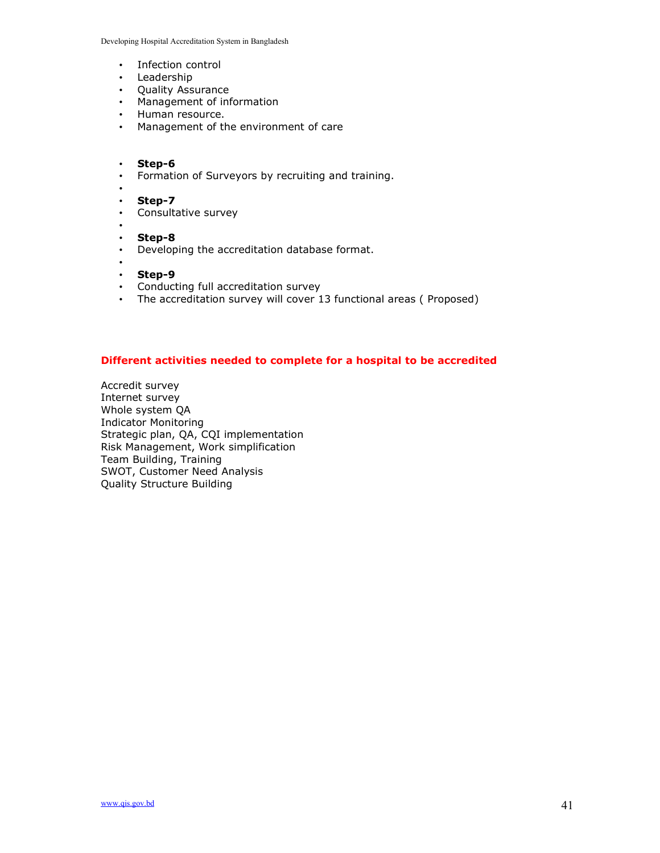Developing Hospital Accreditation System in Bangladesh

- Infection control
- Leadership
- Quality Assurance
- Management of information
- Human resource.
- Management of the environment of care
- Step-6
- Formation of Surveyors by recruiting and training.
- •
- Step-7
- Consultative survey
- • Step-8
- Developing the accreditation database format.
- • Step-9
- Conducting full accreditation survey
- The accreditation survey will cover 13 functional areas ( Proposed)

#### Different activities needed to complete for a hospital to be accredited

Accredit survey Internet survey Whole system QA Indicator Monitoring Strategic plan, QA, CQI implementation Risk Management, Work simplification Team Building, Training SWOT, Customer Need Analysis Quality Structure Building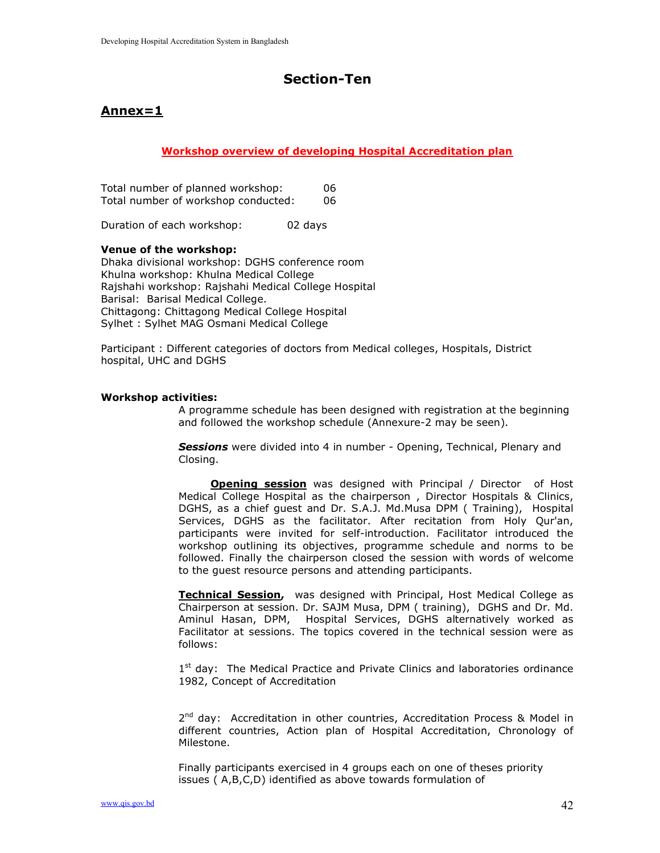# Section-Ten

# Annex=1

### Workshop overview of developing Hospital Accreditation plan

|  |  | Total number of planned workshop:   | 06. |
|--|--|-------------------------------------|-----|
|  |  | Total number of workshop conducted: | 06. |

Duration of each workshop: 02 days

#### Venue of the workshop:

Dhaka divisional workshop: DGHS conference room Khulna workshop: Khulna Medical College Rajshahi workshop: Rajshahi Medical College Hospital Barisal: Barisal Medical College. Chittagong: Chittagong Medical College Hospital Sylhet : Sylhet MAG Osmani Medical College

Participant : Different categories of doctors from Medical colleges, Hospitals, District hospital, UHC and DGHS

#### Workshop activities:

A programme schedule has been designed with registration at the beginning and followed the workshop schedule (Annexure-2 may be seen).

Sessions were divided into 4 in number - Opening, Technical, Plenary and Closing.

**Opening session** was designed with Principal / Director of Host Medical College Hospital as the chairperson , Director Hospitals & Clinics, DGHS, as a chief guest and Dr. S.A.J. Md.Musa DPM ( Training), Hospital Services, DGHS as the facilitator. After recitation from Holy Qur'an, participants were invited for self-introduction. Facilitator introduced the workshop outlining its objectives, programme schedule and norms to be followed. Finally the chairperson closed the session with words of welcome to the guest resource persons and attending participants.

Technical Session, was designed with Principal, Host Medical College as Chairperson at session. Dr. SAJM Musa, DPM ( training), DGHS and Dr. Md. Aminul Hasan, DPM, Hospital Services, DGHS alternatively worked as Facilitator at sessions. The topics covered in the technical session were as follows:

1<sup>st</sup> day: The Medical Practice and Private Clinics and laboratories ordinance 1982, Concept of Accreditation

2<sup>nd</sup> day: Accreditation in other countries, Accreditation Process & Model in different countries, Action plan of Hospital Accreditation, Chronology of Milestone.

Finally participants exercised in 4 groups each on one of theses priority issues ( A,B,C,D) identified as above towards formulation of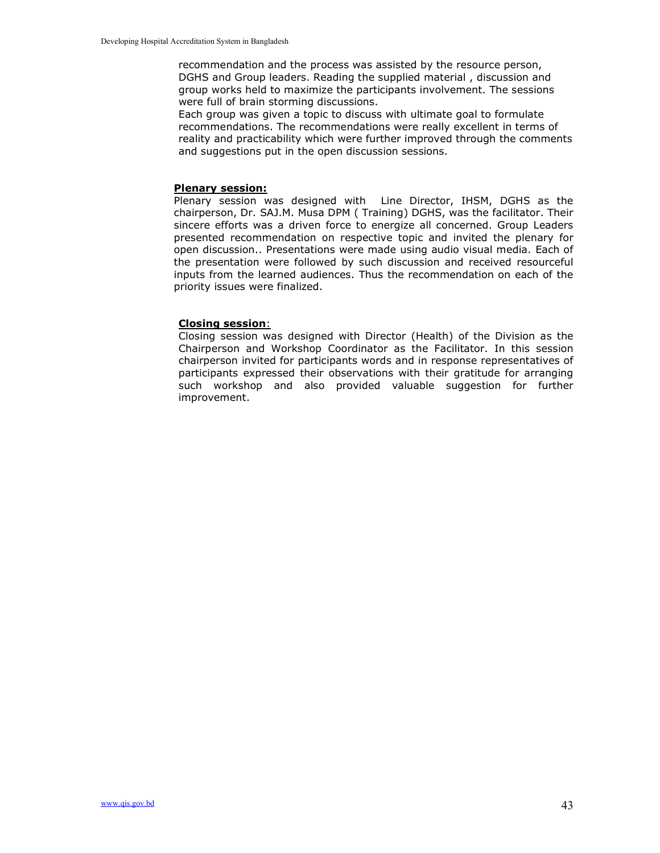recommendation and the process was assisted by the resource person, DGHS and Group leaders. Reading the supplied material , discussion and group works held to maximize the participants involvement. The sessions were full of brain storming discussions.

Each group was given a topic to discuss with ultimate goal to formulate recommendations. The recommendations were really excellent in terms of reality and practicability which were further improved through the comments and suggestions put in the open discussion sessions.

#### Plenary session:

Plenary session was designed with Line Director, IHSM, DGHS as the chairperson, Dr. SAJ.M. Musa DPM ( Training) DGHS, was the facilitator. Their sincere efforts was a driven force to energize all concerned. Group Leaders presented recommendation on respective topic and invited the plenary for open discussion.. Presentations were made using audio visual media. Each of the presentation were followed by such discussion and received resourceful inputs from the learned audiences. Thus the recommendation on each of the priority issues were finalized.

#### Closing session:

Closing session was designed with Director (Health) of the Division as the Chairperson and Workshop Coordinator as the Facilitator. In this session chairperson invited for participants words and in response representatives of participants expressed their observations with their gratitude for arranging such workshop and also provided valuable suggestion for further improvement.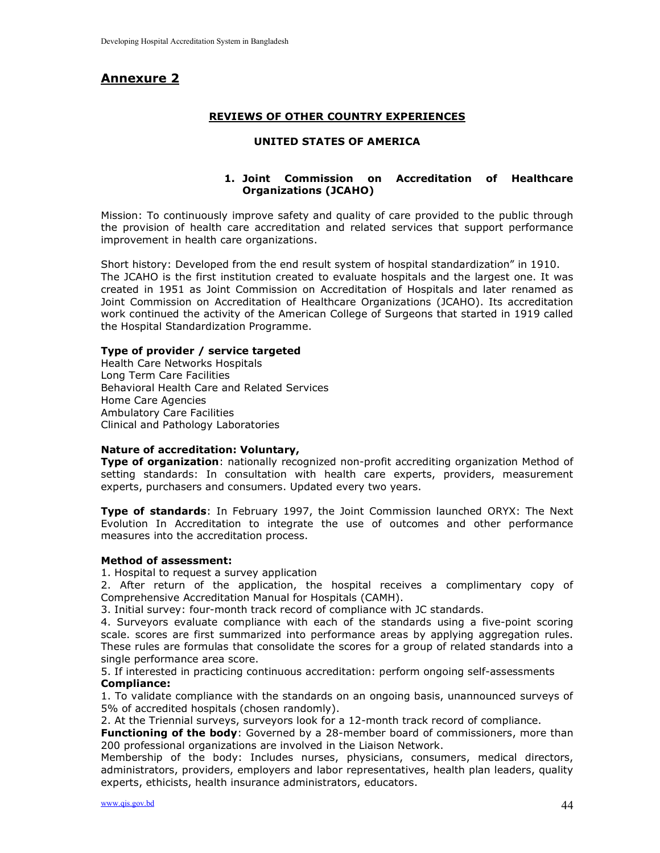# Annexure 2

#### REVIEWS OF OTHER COUNTRY EXPERIENCES

#### UNITED STATES OF AMERICA

### 1. Joint Commission on Accreditation of Healthcare Organizations (JCAHO)

Mission: To continuously improve safety and quality of care provided to the public through the provision of health care accreditation and related services that support performance improvement in health care organizations.

Short history: Developed from the end result system of hospital standardization" in 1910. The JCAHO is the first institution created to evaluate hospitals and the largest one. It was created in 1951 as Joint Commission on Accreditation of Hospitals and later renamed as Joint Commission on Accreditation of Healthcare Organizations (JCAHO). Its accreditation work continued the activity of the American College of Surgeons that started in 1919 called the Hospital Standardization Programme.

#### Type of provider / service targeted

Health Care Networks Hospitals Long Term Care Facilities Behavioral Health Care and Related Services Home Care Agencies Ambulatory Care Facilities Clinical and Pathology Laboratories

#### Nature of accreditation: Voluntary,

**Type of organization**: nationally recognized non-profit accrediting organization Method of setting standards: In consultation with health care experts, providers, measurement experts, purchasers and consumers. Updated every two years.

Type of standards: In February 1997, the Joint Commission launched ORYX: The Next Evolution In Accreditation to integrate the use of outcomes and other performance measures into the accreditation process.

#### Method of assessment:

1. Hospital to request a survey application

2. After return of the application, the hospital receives a complimentary copy of Comprehensive Accreditation Manual for Hospitals (CAMH).

3. Initial survey: four-month track record of compliance with JC standards.

4. Surveyors evaluate compliance with each of the standards using a five-point scoring scale. scores are first summarized into performance areas by applying aggregation rules. These rules are formulas that consolidate the scores for a group of related standards into a single performance area score.

5. If interested in practicing continuous accreditation: perform ongoing self-assessments Compliance:

1. To validate compliance with the standards on an ongoing basis, unannounced surveys of 5% of accredited hospitals (chosen randomly).

2. At the Triennial surveys, surveyors look for a 12-month track record of compliance.

Functioning of the body: Governed by a 28-member board of commissioners, more than 200 professional organizations are involved in the Liaison Network.

Membership of the body: Includes nurses, physicians, consumers, medical directors, administrators, providers, employers and labor representatives, health plan leaders, quality experts, ethicists, health insurance administrators, educators.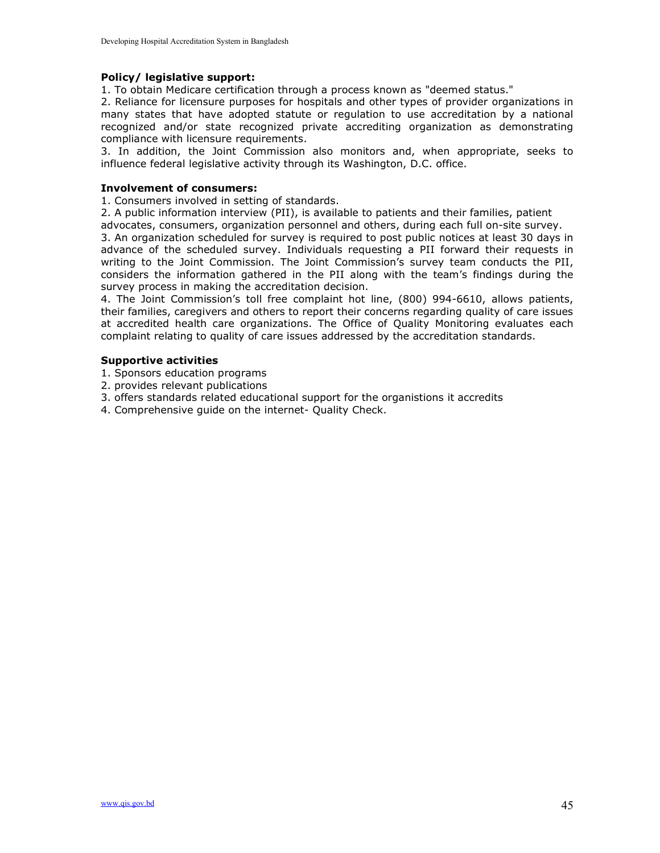#### Policy/ legislative support:

1. To obtain Medicare certification through a process known as "deemed status."

2. Reliance for licensure purposes for hospitals and other types of provider organizations in many states that have adopted statute or regulation to use accreditation by a national recognized and/or state recognized private accrediting organization as demonstrating compliance with licensure requirements.

3. In addition, the Joint Commission also monitors and, when appropriate, seeks to influence federal legislative activity through its Washington, D.C. office.

#### Involvement of consumers:

1. Consumers involved in setting of standards.

2. A public information interview (PII), is available to patients and their families, patient

advocates, consumers, organization personnel and others, during each full on-site survey. 3. An organization scheduled for survey is required to post public notices at least 30 days in advance of the scheduled survey. Individuals requesting a PII forward their requests in writing to the Joint Commission. The Joint Commission's survey team conducts the PII, considers the information gathered in the PII along with the team's findings during the survey process in making the accreditation decision.

4. The Joint Commission's toll free complaint hot line, (800) 994-6610, allows patients, their families, caregivers and others to report their concerns regarding quality of care issues at accredited health care organizations. The Office of Quality Monitoring evaluates each complaint relating to quality of care issues addressed by the accreditation standards.

#### Supportive activities

- 1. Sponsors education programs
- 2. provides relevant publications
- 3. offers standards related educational support for the organistions it accredits
- 4. Comprehensive guide on the internet- Quality Check.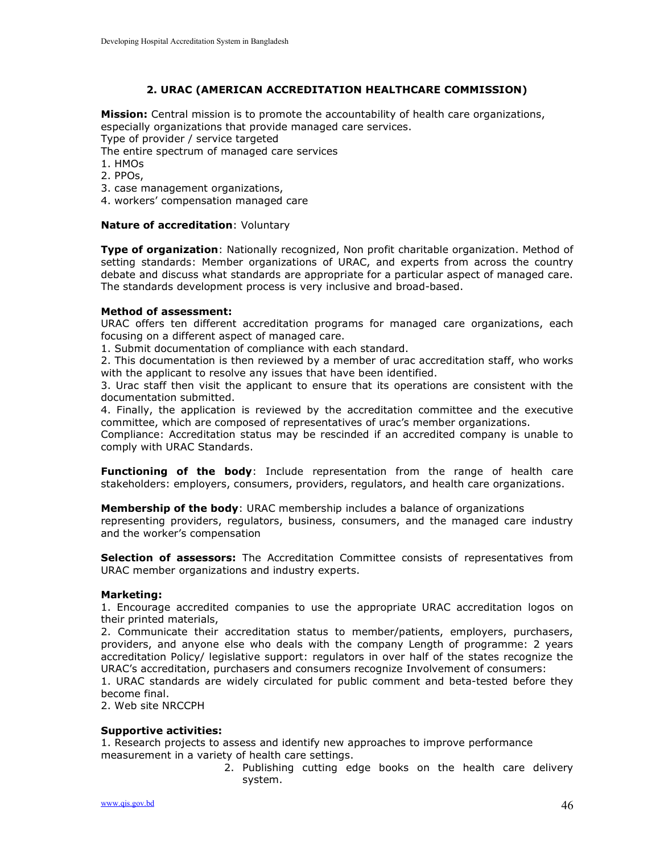### 2. URAC (AMERICAN ACCREDITATION HEALTHCARE COMMISSION)

**Mission:** Central mission is to promote the accountability of health care organizations, especially organizations that provide managed care services.

Type of provider / service targeted

The entire spectrum of managed care services

- 1. HMOs
- 2. PPOs,
- 3. case management organizations,
- 4. workers' compensation managed care

#### Nature of accreditation: Voluntary

Type of organization: Nationally recognized, Non profit charitable organization. Method of setting standards: Member organizations of URAC, and experts from across the country debate and discuss what standards are appropriate for a particular aspect of managed care. The standards development process is very inclusive and broad-based.

#### Method of assessment:

URAC offers ten different accreditation programs for managed care organizations, each focusing on a different aspect of managed care.

1. Submit documentation of compliance with each standard.

2. This documentation is then reviewed by a member of urac accreditation staff, who works with the applicant to resolve any issues that have been identified.

3. Urac staff then visit the applicant to ensure that its operations are consistent with the documentation submitted.

4. Finally, the application is reviewed by the accreditation committee and the executive committee, which are composed of representatives of urac's member organizations.

Compliance: Accreditation status may be rescinded if an accredited company is unable to comply with URAC Standards.

**Functioning of the body:** Include representation from the range of health care stakeholders: employers, consumers, providers, regulators, and health care organizations.

#### Membership of the body: URAC membership includes a balance of organizations

representing providers, regulators, business, consumers, and the managed care industry and the worker's compensation

Selection of assessors: The Accreditation Committee consists of representatives from URAC member organizations and industry experts.

#### Marketing:

1. Encourage accredited companies to use the appropriate URAC accreditation logos on their printed materials,

2. Communicate their accreditation status to member/patients, employers, purchasers, providers, and anyone else who deals with the company Length of programme: 2 years accreditation Policy/ legislative support: regulators in over half of the states recognize the URAC's accreditation, purchasers and consumers recognize Involvement of consumers:

1. URAC standards are widely circulated for public comment and beta-tested before they become final.

2. Web site NRCCPH

#### Supportive activities:

1. Research projects to assess and identify new approaches to improve performance measurement in a variety of health care settings.

> 2. Publishing cutting edge books on the health care delivery system.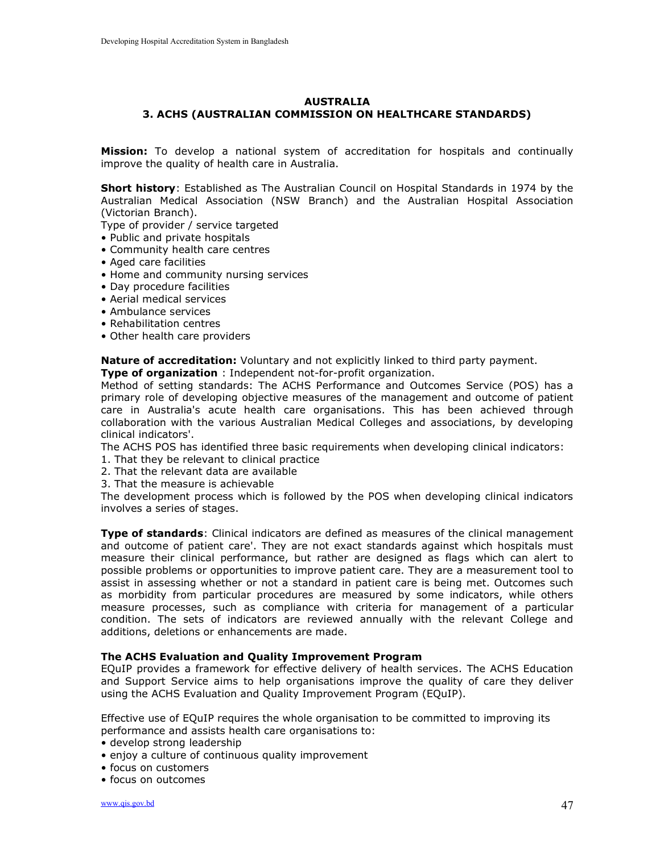#### AUSTRALIA 3. ACHS (AUSTRALIAN COMMISSION ON HEALTHCARE STANDARDS)

Mission: To develop a national system of accreditation for hospitals and continually improve the quality of health care in Australia.

Short history: Established as The Australian Council on Hospital Standards in 1974 by the Australian Medical Association (NSW Branch) and the Australian Hospital Association (Victorian Branch).

Type of provider / service targeted

- Public and private hospitals
- Community health care centres
- Aged care facilities
- Home and community nursing services
- Day procedure facilities
- Aerial medical services
- Ambulance services
- Rehabilitation centres
- Other health care providers

Nature of accreditation: Voluntary and not explicitly linked to third party payment. Type of organization: Independent not-for-profit organization.

Method of setting standards: The ACHS Performance and Outcomes Service (POS) has a primary role of developing objective measures of the management and outcome of patient care in Australia's acute health care organisations. This has been achieved through collaboration with the various Australian Medical Colleges and associations, by developing clinical indicators'.

The ACHS POS has identified three basic requirements when developing clinical indicators:

- 1. That they be relevant to clinical practice
- 2. That the relevant data are available
- 3. That the measure is achievable

The development process which is followed by the POS when developing clinical indicators involves a series of stages.

Type of standards: Clinical indicators are defined as measures of the clinical management and outcome of patient care'. They are not exact standards against which hospitals must measure their clinical performance, but rather are designed as flags which can alert to possible problems or opportunities to improve patient care. They are a measurement tool to assist in assessing whether or not a standard in patient care is being met. Outcomes such as morbidity from particular procedures are measured by some indicators, while others measure processes, such as compliance with criteria for management of a particular condition. The sets of indicators are reviewed annually with the relevant College and additions, deletions or enhancements are made.

#### The ACHS Evaluation and Quality Improvement Program

EQuIP provides a framework for effective delivery of health services. The ACHS Education and Support Service aims to help organisations improve the quality of care they deliver using the ACHS Evaluation and Quality Improvement Program (EQuIP).

Effective use of EQuIP requires the whole organisation to be committed to improving its performance and assists health care organisations to:

- develop strong leadership
- enjoy a culture of continuous quality improvement
- focus on customers
- focus on outcomes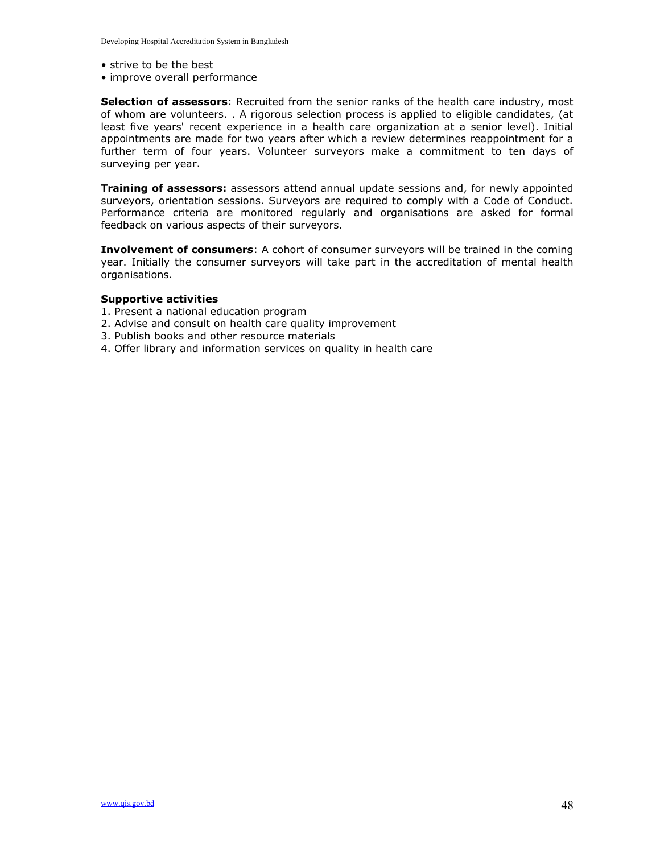- strive to be the best
- improve overall performance

Selection of assessors: Recruited from the senior ranks of the health care industry, most of whom are volunteers. . A rigorous selection process is applied to eligible candidates, (at least five years' recent experience in a health care organization at a senior level). Initial appointments are made for two years after which a review determines reappointment for a further term of four years. Volunteer surveyors make a commitment to ten days of surveying per year.

**Training of assessors:** assessors attend annual update sessions and, for newly appointed surveyors, orientation sessions. Surveyors are required to comply with a Code of Conduct. Performance criteria are monitored regularly and organisations are asked for formal feedback on various aspects of their surveyors.

Involvement of consumers: A cohort of consumer surveyors will be trained in the coming year. Initially the consumer surveyors will take part in the accreditation of mental health organisations.

#### Supportive activities

- 1. Present a national education program
- 2. Advise and consult on health care quality improvement
- 3. Publish books and other resource materials
- 4. Offer library and information services on quality in health care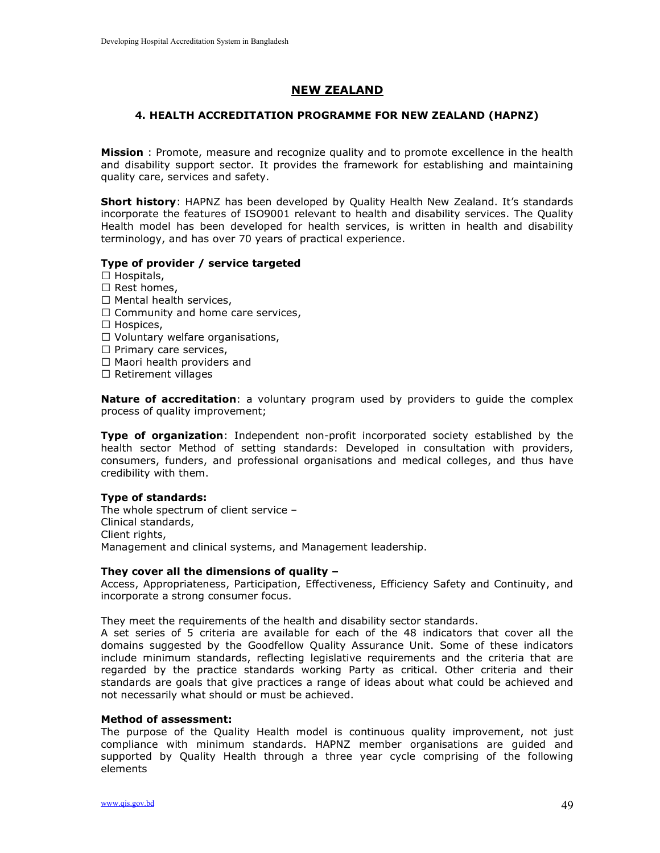### NEW ZEALAND

#### 4. HEALTH ACCREDITATION PROGRAMME FOR NEW ZEALAND (HAPNZ)

**Mission**: Promote, measure and recognize quality and to promote excellence in the health and disability support sector. It provides the framework for establishing and maintaining quality care, services and safety.

Short history: HAPNZ has been developed by Quality Health New Zealand. It's standards incorporate the features of ISO9001 relevant to health and disability services. The Quality Health model has been developed for health services, is written in health and disability terminology, and has over 70 years of practical experience.

#### Type of provider / service targeted

- $\Box$  Hospitals,
- $\Box$  Rest homes.
- $\Box$  Mental health services,
- $\Box$  Community and home care services,
- $\Box$  Hospices,
- $\Box$  Voluntary welfare organisations,
- $\Box$  Primary care services,
- $\Box$  Maori health providers and
- $\Box$  Retirement villages

**Nature of accreditation**: a voluntary program used by providers to guide the complex process of quality improvement;

Type of organization: Independent non-profit incorporated society established by the health sector Method of setting standards: Developed in consultation with providers, consumers, funders, and professional organisations and medical colleges, and thus have credibility with them.

#### Type of standards:

The whole spectrum of client service – Clinical standards, Client rights, Management and clinical systems, and Management leadership.

#### They cover all the dimensions of quality –

Access, Appropriateness, Participation, Effectiveness, Efficiency Safety and Continuity, and incorporate a strong consumer focus.

They meet the requirements of the health and disability sector standards.

A set series of 5 criteria are available for each of the 48 indicators that cover all the domains suggested by the Goodfellow Quality Assurance Unit. Some of these indicators include minimum standards, reflecting legislative requirements and the criteria that are regarded by the practice standards working Party as critical. Other criteria and their standards are goals that give practices a range of ideas about what could be achieved and not necessarily what should or must be achieved.

#### Method of assessment:

The purpose of the Quality Health model is continuous quality improvement, not just compliance with minimum standards. HAPNZ member organisations are guided and supported by Quality Health through a three year cycle comprising of the following elements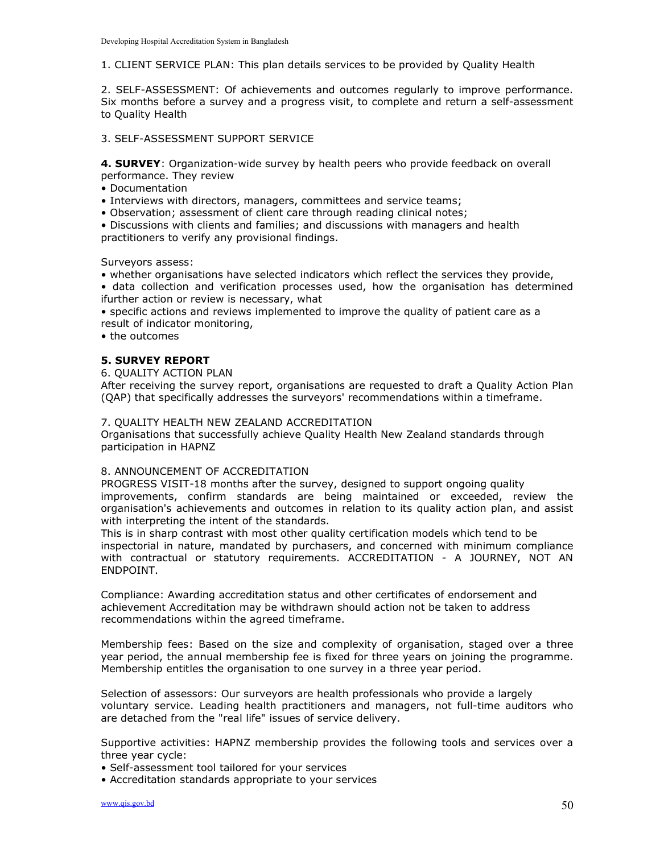1. CLIENT SERVICE PLAN: This plan details services to be provided by Quality Health

2. SELF-ASSESSMENT: Of achievements and outcomes regularly to improve performance. Six months before a survey and a progress visit, to complete and return a self-assessment to Quality Health

#### 3. SELF-ASSESSMENT SUPPORT SERVICE

4. **SURVEY**: Organization-wide survey by health peers who provide feedback on overall performance. They review

- Documentation
- Interviews with directors, managers, committees and service teams;
- Observation; assessment of client care through reading clinical notes;

• Discussions with clients and families; and discussions with managers and health practitioners to verify any provisional findings.

Surveyors assess:

- whether organisations have selected indicators which reflect the services they provide,
- data collection and verification processes used, how the organisation has determined ifurther action or review is necessary, what

• specific actions and reviews implemented to improve the quality of patient care as a result of indicator monitoring,

• the outcomes

#### 5. SURVEY REPORT

6. QUALITY ACTION PLAN

After receiving the survey report, organisations are requested to draft a Quality Action Plan (QAP) that specifically addresses the surveyors' recommendations within a timeframe.

#### 7. QUALITY HEALTH NEW ZEALAND ACCREDITATION

Organisations that successfully achieve Quality Health New Zealand standards through participation in HAPNZ

#### 8. ANNOUNCEMENT OF ACCREDITATION

PROGRESS VISIT-18 months after the survey, designed to support ongoing quality improvements, confirm standards are being maintained or exceeded, review the organisation's achievements and outcomes in relation to its quality action plan, and assist with interpreting the intent of the standards.

This is in sharp contrast with most other quality certification models which tend to be inspectorial in nature, mandated by purchasers, and concerned with minimum compliance with contractual or statutory requirements. ACCREDITATION - A JOURNEY, NOT AN ENDPOINT.

Compliance: Awarding accreditation status and other certificates of endorsement and achievement Accreditation may be withdrawn should action not be taken to address recommendations within the agreed timeframe.

Membership fees: Based on the size and complexity of organisation, staged over a three year period, the annual membership fee is fixed for three years on joining the programme. Membership entitles the organisation to one survey in a three year period.

Selection of assessors: Our surveyors are health professionals who provide a largely voluntary service. Leading health practitioners and managers, not full-time auditors who are detached from the "real life" issues of service delivery.

Supportive activities: HAPNZ membership provides the following tools and services over a three year cycle:

• Self-assessment tool tailored for your services

• Accreditation standards appropriate to your services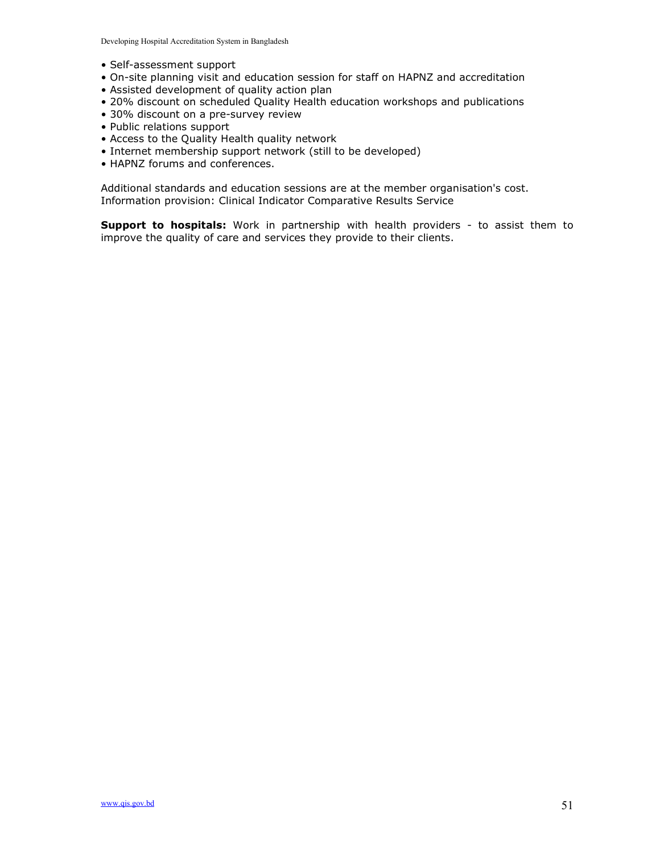Developing Hospital Accreditation System in Bangladesh

- Self-assessment support
- On-site planning visit and education session for staff on HAPNZ and accreditation
- Assisted development of quality action plan
- 20% discount on scheduled Quality Health education workshops and publications
- 30% discount on a pre-survey review
- Public relations support
- Access to the Quality Health quality network
- Internet membership support network (still to be developed)
- HAPNZ forums and conferences.

Additional standards and education sessions are at the member organisation's cost. Information provision: Clinical Indicator Comparative Results Service

Support to hospitals: Work in partnership with health providers - to assist them to improve the quality of care and services they provide to their clients.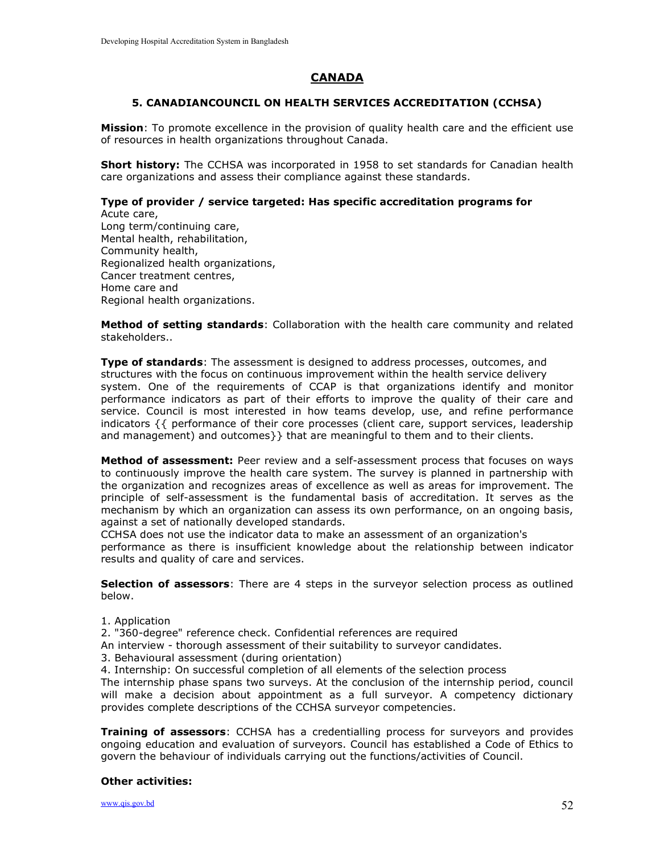# CANADA

#### 5. CANADIANCOUNCIL ON HEALTH SERVICES ACCREDITATION (CCHSA)

**Mission**: To promote excellence in the provision of quality health care and the efficient use of resources in health organizations throughout Canada.

**Short history:** The CCHSA was incorporated in 1958 to set standards for Canadian health care organizations and assess their compliance against these standards.

#### Type of provider / service targeted: Has specific accreditation programs for Acute care,

Long term/continuing care, Mental health, rehabilitation, Community health, Regionalized health organizations, Cancer treatment centres, Home care and Regional health organizations.

Method of setting standards: Collaboration with the health care community and related stakeholders..

**Type of standards:** The assessment is designed to address processes, outcomes, and structures with the focus on continuous improvement within the health service delivery system. One of the requirements of CCAP is that organizations identify and monitor performance indicators as part of their efforts to improve the quality of their care and service. Council is most interested in how teams develop, use, and refine performance indicators {{ performance of their core processes (client care, support services, leadership and management) and outcomes}} that are meaningful to them and to their clients.

Method of assessment: Peer review and a self-assessment process that focuses on ways to continuously improve the health care system. The survey is planned in partnership with the organization and recognizes areas of excellence as well as areas for improvement. The principle of self-assessment is the fundamental basis of accreditation. It serves as the mechanism by which an organization can assess its own performance, on an ongoing basis, against a set of nationally developed standards.

CCHSA does not use the indicator data to make an assessment of an organization's performance as there is insufficient knowledge about the relationship between indicator results and quality of care and services.

Selection of assessors: There are 4 steps in the surveyor selection process as outlined below.

- 1. Application
- 2. "360-degree" reference check. Confidential references are required
- An interview thorough assessment of their suitability to surveyor candidates.
- 3. Behavioural assessment (during orientation)
- 4. Internship: On successful completion of all elements of the selection process

The internship phase spans two surveys. At the conclusion of the internship period, council will make a decision about appointment as a full surveyor. A competency dictionary provides complete descriptions of the CCHSA surveyor competencies.

**Training of assessors:** CCHSA has a credentialling process for surveyors and provides ongoing education and evaluation of surveyors. Council has established a Code of Ethics to govern the behaviour of individuals carrying out the functions/activities of Council.

#### Other activities:

www.qis.gov.bd  $52$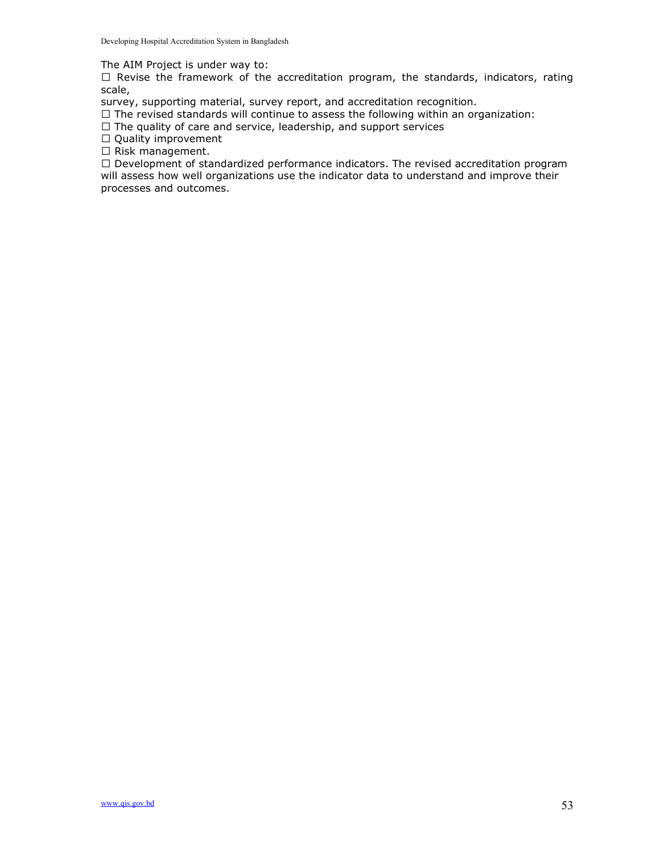The AIM Project is under way to:

 $\Box$  Revise the framework of the accreditation program, the standards, indicators, rating scale,

survey, supporting material, survey report, and accreditation recognition.

 $\Box$  The revised standards will continue to assess the following within an organization:

 $\Box$  The quality of care and service, leadership, and support services

□ Quality improvement

 $\Box$  Risk management.

 $\Box$  Development of standardized performance indicators. The revised accreditation program will assess how well organizations use the indicator data to understand and improve their processes and outcomes.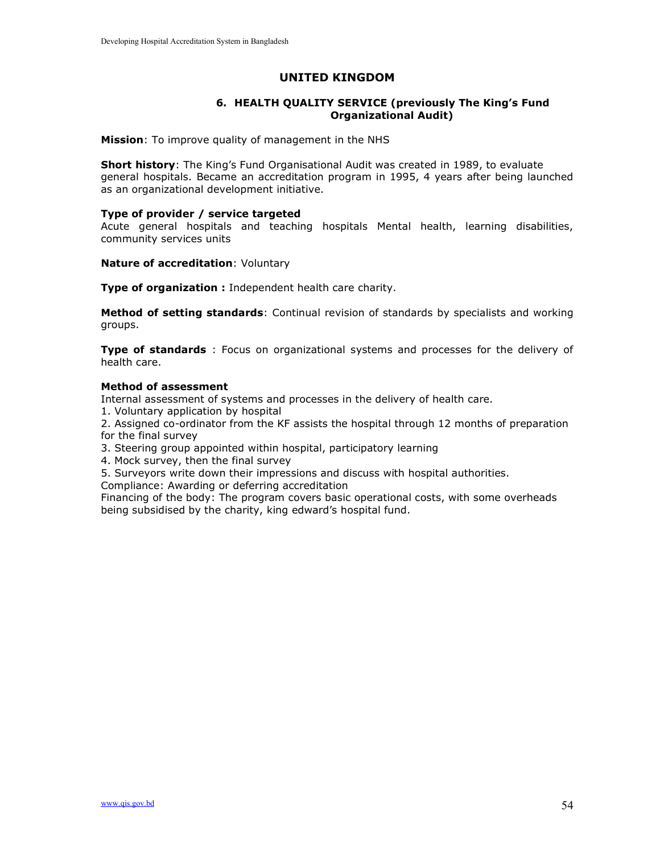### UNITED KINGDOM

#### 6. HEALTH QUALITY SERVICE (previously The King's Fund Organizational Audit)

Mission: To improve quality of management in the NHS

**Short history**: The King's Fund Organisational Audit was created in 1989, to evaluate general hospitals. Became an accreditation program in 1995, 4 years after being launched as an organizational development initiative.

#### Type of provider / service targeted

Acute general hospitals and teaching hospitals Mental health, learning disabilities, community services units

Nature of accreditation: Voluntary

Type of organization : Independent health care charity.

Method of setting standards: Continual revision of standards by specialists and working groups.

Type of standards : Focus on organizational systems and processes for the delivery of health care.

#### Method of assessment

Internal assessment of systems and processes in the delivery of health care.

1. Voluntary application by hospital

2. Assigned co-ordinator from the KF assists the hospital through 12 months of preparation for the final survey

- 3. Steering group appointed within hospital, participatory learning
- 4. Mock survey, then the final survey
- 5. Surveyors write down their impressions and discuss with hospital authorities.

Compliance: Awarding or deferring accreditation

Financing of the body: The program covers basic operational costs, with some overheads being subsidised by the charity, king edward's hospital fund.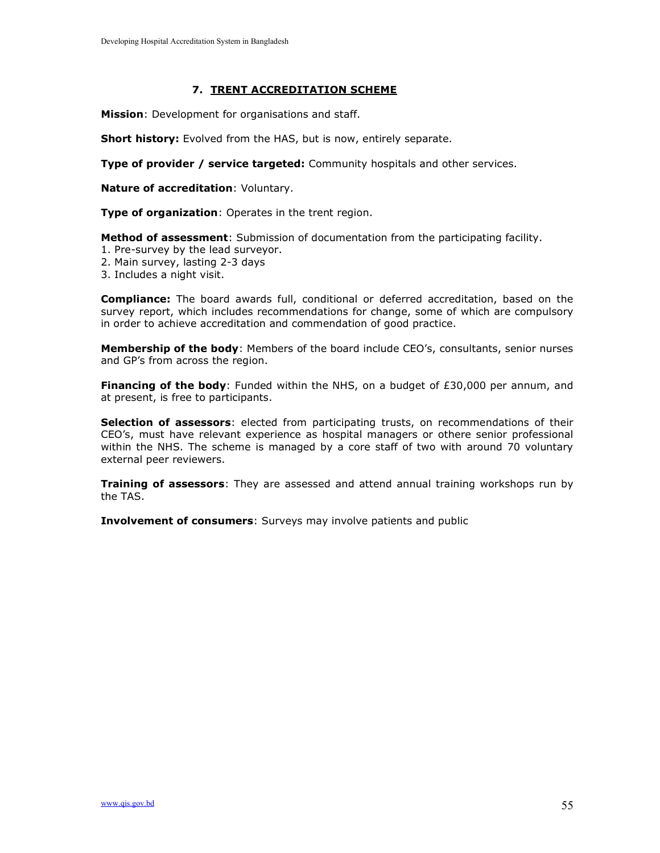### 7. TRENT ACCREDITATION SCHEME

Mission: Development for organisations and staff.

**Short history:** Evolved from the HAS, but is now, entirely separate.

Type of provider / service targeted: Community hospitals and other services.

Nature of accreditation: Voluntary.

Type of organization: Operates in the trent region.

Method of assessment: Submission of documentation from the participating facility.

- 1. Pre-survey by the lead surveyor.
- 2. Main survey, lasting 2-3 days
- 3. Includes a night visit.

Compliance: The board awards full, conditional or deferred accreditation, based on the survey report, which includes recommendations for change, some of which are compulsory in order to achieve accreditation and commendation of good practice.

Membership of the body: Members of the board include CEO's, consultants, senior nurses and GP's from across the region.

Financing of the body: Funded within the NHS, on a budget of  $£30,000$  per annum, and at present, is free to participants.

Selection of assessors: elected from participating trusts, on recommendations of their CEO's, must have relevant experience as hospital managers or othere senior professional within the NHS. The scheme is managed by a core staff of two with around 70 voluntary external peer reviewers.

**Training of assessors:** They are assessed and attend annual training workshops run by the TAS.

**Involvement of consumers:** Surveys may involve patients and public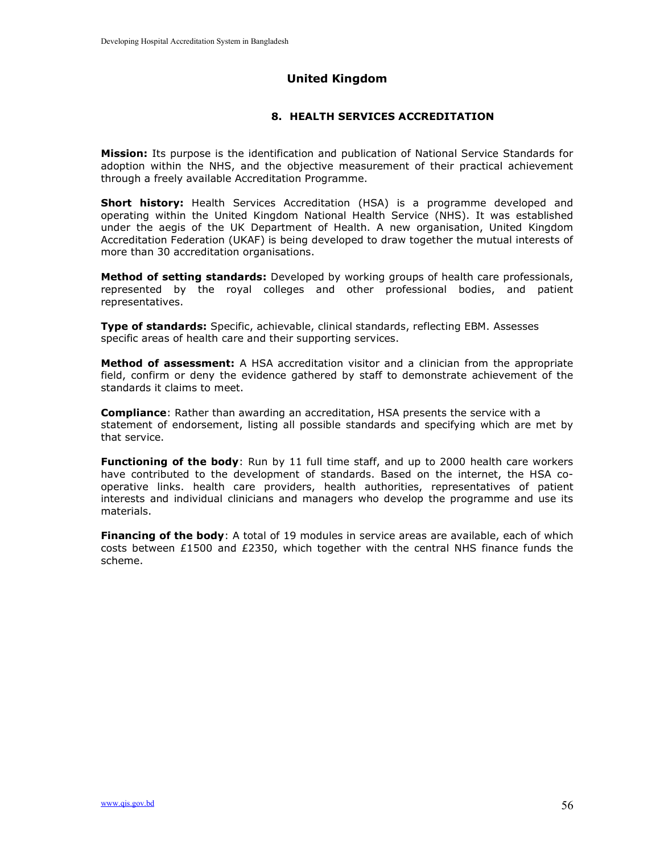# United Kingdom

### 8. HEALTH SERVICES ACCREDITATION

**Mission:** Its purpose is the identification and publication of National Service Standards for adoption within the NHS, and the objective measurement of their practical achievement through a freely available Accreditation Programme.

Short history: Health Services Accreditation (HSA) is a programme developed and operating within the United Kingdom National Health Service (NHS). It was established under the aegis of the UK Department of Health. A new organisation, United Kingdom Accreditation Federation (UKAF) is being developed to draw together the mutual interests of more than 30 accreditation organisations.

Method of setting standards: Developed by working groups of health care professionals, represented by the royal colleges and other professional bodies, and patient representatives.

Type of standards: Specific, achievable, clinical standards, reflecting EBM. Assesses specific areas of health care and their supporting services.

**Method of assessment:** A HSA accreditation visitor and a clinician from the appropriate field, confirm or deny the evidence gathered by staff to demonstrate achievement of the standards it claims to meet.

**Compliance:** Rather than awarding an accreditation, HSA presents the service with a statement of endorsement, listing all possible standards and specifying which are met by that service.

Functioning of the body: Run by 11 full time staff, and up to 2000 health care workers have contributed to the development of standards. Based on the internet, the HSA cooperative links. health care providers, health authorities, representatives of patient interests and individual clinicians and managers who develop the programme and use its materials.

Financing of the body: A total of 19 modules in service areas are available, each of which costs between £1500 and £2350, which together with the central NHS finance funds the scheme.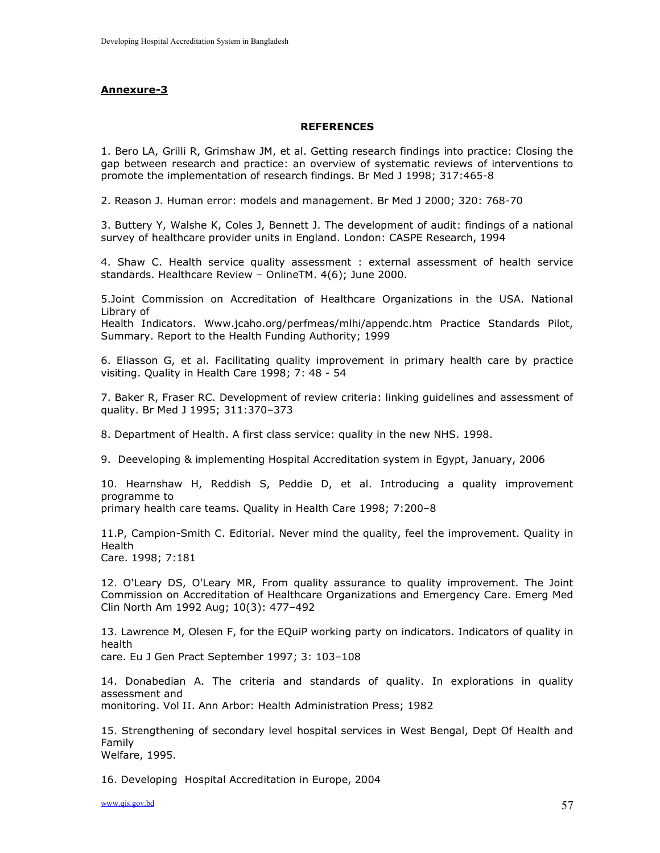#### Annexure-3

#### **REFERENCES**

1. Bero LA, Grilli R, Grimshaw JM, et al. Getting research findings into practice: Closing the gap between research and practice: an overview of systematic reviews of interventions to promote the implementation of research findings. Br Med J 1998; 317:465-8

2. Reason J. Human error: models and management. Br Med J 2000; 320: 768-70

3. Buttery Y, Walshe K, Coles J, Bennett J. The development of audit: findings of a national survey of healthcare provider units in England. London: CASPE Research, 1994

4. Shaw C. Health service quality assessment : external assessment of health service standards. Healthcare Review – OnlineTM. 4(6); June 2000.

5.Joint Commission on Accreditation of Healthcare Organizations in the USA. National Library of

Health Indicators. Www.jcaho.org/perfmeas/mlhi/appendc.htm Practice Standards Pilot, Summary. Report to the Health Funding Authority; 1999

6. Eliasson G, et al. Facilitating quality improvement in primary health care by practice visiting. Quality in Health Care 1998; 7: 48 - 54

7. Baker R, Fraser RC. Development of review criteria: linking guidelines and assessment of quality. Br Med J 1995; 311:370–373

8. Department of Health. A first class service: quality in the new NHS. 1998.

9. Deeveloping & implementing Hospital Accreditation system in Egypt, January, 2006

10. Hearnshaw H, Reddish S, Peddie D, et al. Introducing a quality improvement programme to

primary health care teams. Quality in Health Care 1998; 7:200–8

11.P, Campion-Smith C. Editorial. Never mind the quality, feel the improvement. Quality in Health Care. 1998; 7:181

12. O'Leary DS, O'Leary MR, From quality assurance to quality improvement. The Joint Commission on Accreditation of Healthcare Organizations and Emergency Care. Emerg Med Clin North Am 1992 Aug; 10(3): 477–492

13. Lawrence M, Olesen F, for the EQuiP working party on indicators. Indicators of quality in health

care. Eu J Gen Pract September 1997; 3: 103–108

14. Donabedian A. The criteria and standards of quality. In explorations in quality assessment and

monitoring. Vol II. Ann Arbor: Health Administration Press; 1982

15. Strengthening of secondary level hospital services in West Bengal, Dept Of Health and Family

Welfare, 1995.

16. Developing Hospital Accreditation in Europe, 2004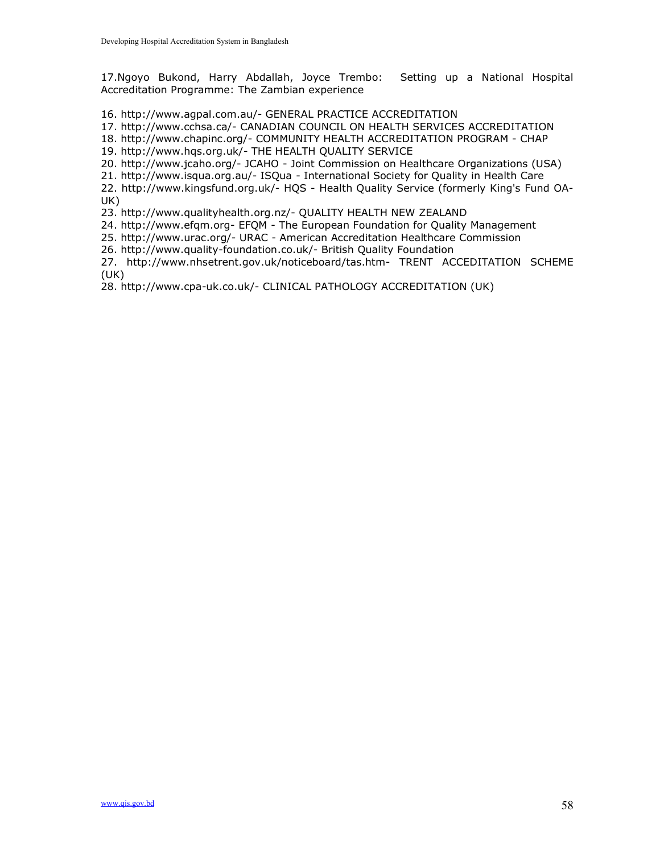17.Ngoyo Bukond, Harry Abdallah, Joyce Trembo: Setting up a National Hospital Accreditation Programme: The Zambian experience

16. http://www.agpal.com.au/- GENERAL PRACTICE ACCREDITATION

17. http://www.cchsa.ca/- CANADIAN COUNCIL ON HEALTH SERVICES ACCREDITATION

18. http://www.chapinc.org/- COMMUNITY HEALTH ACCREDITATION PROGRAM - CHAP

19. http://www.hqs.org.uk/- THE HEALTH QUALITY SERVICE

20. http://www.jcaho.org/- JCAHO - Joint Commission on Healthcare Organizations (USA)

21. http://www.isqua.org.au/- ISQua - International Society for Quality in Health Care

22. http://www.kingsfund.org.uk/- HQS - Health Quality Service (formerly King's Fund OA-UK)

23. http://www.qualityhealth.org.nz/- QUALITY HEALTH NEW ZEALAND

24. http://www.efqm.org- EFQM - The European Foundation for Quality Management

25. http://www.urac.org/- URAC - American Accreditation Healthcare Commission

26. http://www.quality-foundation.co.uk/- British Quality Foundation

27. http://www.nhsetrent.gov.uk/noticeboard/tas.htm- TRENT ACCEDITATION SCHEME (UK)

28. http://www.cpa-uk.co.uk/- CLINICAL PATHOLOGY ACCREDITATION (UK)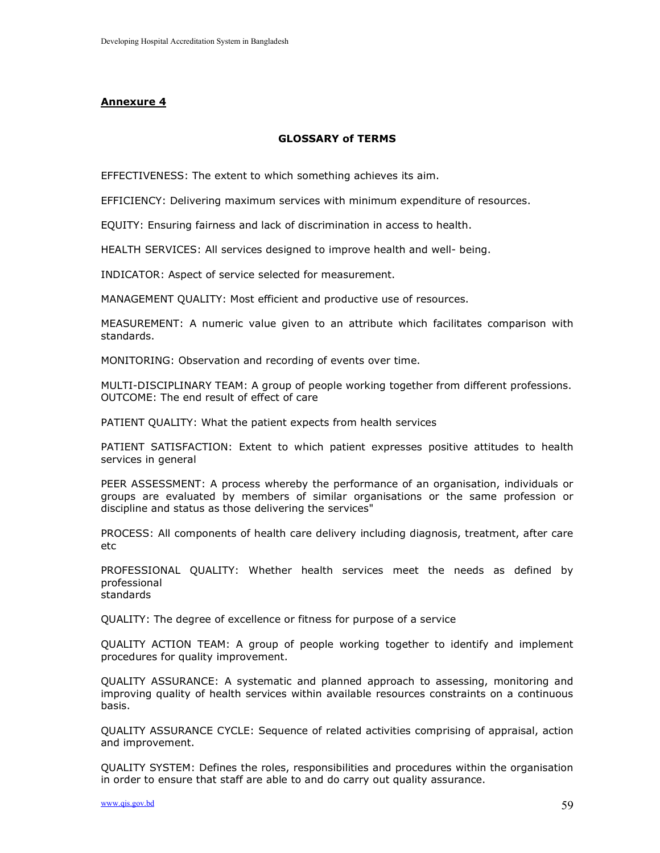#### Annexure 4

#### GLOSSARY of TERMS

EFFECTIVENESS: The extent to which something achieves its aim.

EFFICIENCY: Delivering maximum services with minimum expenditure of resources.

EQUITY: Ensuring fairness and lack of discrimination in access to health.

HEALTH SERVICES: All services designed to improve health and well- being.

INDICATOR: Aspect of service selected for measurement.

MANAGEMENT QUALITY: Most efficient and productive use of resources.

MEASUREMENT: A numeric value given to an attribute which facilitates comparison with standards.

MONITORING: Observation and recording of events over time.

MULTI-DISCIPLINARY TEAM: A group of people working together from different professions. OUTCOME: The end result of effect of care

PATIENT QUALITY: What the patient expects from health services

PATIENT SATISFACTION: Extent to which patient expresses positive attitudes to health services in general

PEER ASSESSMENT: A process whereby the performance of an organisation, individuals or groups are evaluated by members of similar organisations or the same profession or discipline and status as those delivering the services"

PROCESS: All components of health care delivery including diagnosis, treatment, after care etc

PROFESSIONAL QUALITY: Whether health services meet the needs as defined by professional standards

QUALITY: The degree of excellence or fitness for purpose of a service

QUALITY ACTION TEAM: A group of people working together to identify and implement procedures for quality improvement.

QUALITY ASSURANCE: A systematic and planned approach to assessing, monitoring and improving quality of health services within available resources constraints on a continuous basis.

QUALITY ASSURANCE CYCLE: Sequence of related activities comprising of appraisal, action and improvement.

QUALITY SYSTEM: Defines the roles, responsibilities and procedures within the organisation in order to ensure that staff are able to and do carry out quality assurance.